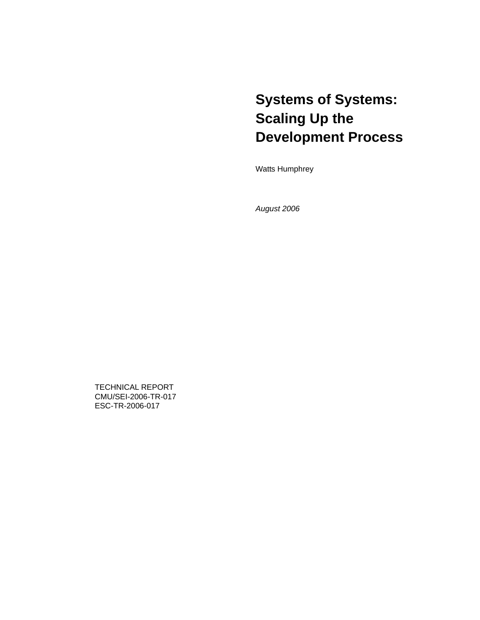# **Systems of Systems: Scaling Up the Development Process**

Watts Humphrey

*August 2006* 

TECHNICAL REPORT CMU/SEI-2006-TR-017 ESC-TR-2006-017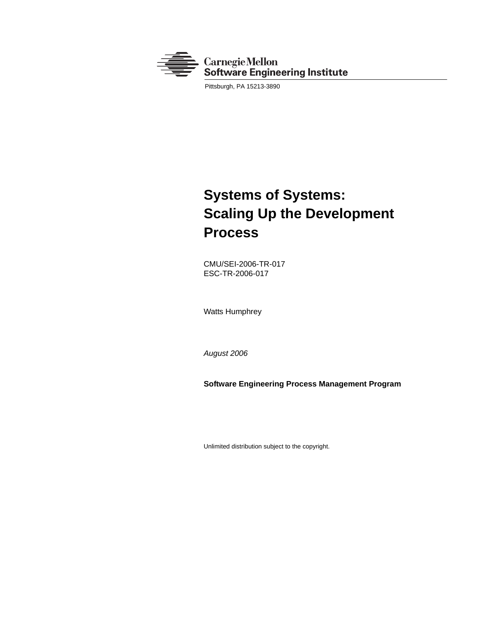

Pittsburgh, PA 15213-3890

# **Systems of Systems: Scaling Up the Development Process**

CMU/SEI-2006-TR-017 ESC-TR-2006-017

Watts Humphrey

*August 2006* 

**Software Engineering Process Management Program** 

Unlimited distribution subject to the copyright.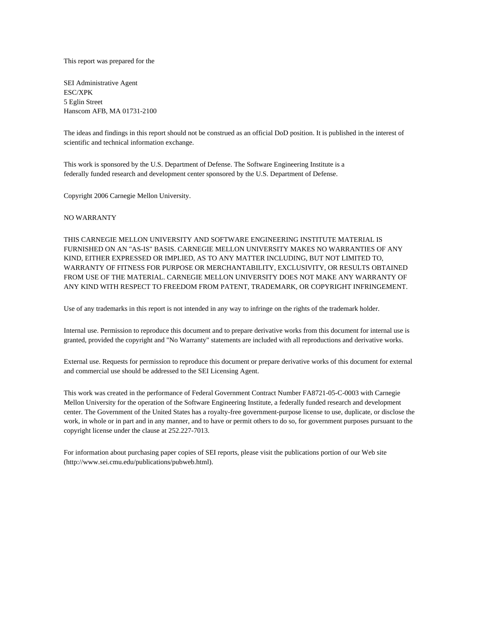This report was prepared for the

SEI Administrative Agent ESC/XPK 5 Eglin Street Hanscom AFB, MA 01731-2100

The ideas and findings in this report should not be construed as an official DoD position. It is published in the interest of scientific and technical information exchange.

This work is sponsored by the U.S. Department of Defense. The Software Engineering Institute is a federally funded research and development center sponsored by the U.S. Department of Defense.

Copyright 2006 Carnegie Mellon University.

#### NO WARRANTY

THIS CARNEGIE MELLON UNIVERSITY AND SOFTWARE ENGINEERING INSTITUTE MATERIAL IS FURNISHED ON AN "AS-IS" BASIS. CARNEGIE MELLON UNIVERSITY MAKES NO WARRANTIES OF ANY KIND, EITHER EXPRESSED OR IMPLIED, AS TO ANY MATTER INCLUDING, BUT NOT LIMITED TO, WARRANTY OF FITNESS FOR PURPOSE OR MERCHANTABILITY, EXCLUSIVITY, OR RESULTS OBTAINED FROM USE OF THE MATERIAL. CARNEGIE MELLON UNIVERSITY DOES NOT MAKE ANY WARRANTY OF ANY KIND WITH RESPECT TO FREEDOM FROM PATENT, TRADEMARK, OR COPYRIGHT INFRINGEMENT.

Use of any trademarks in this report is not intended in any way to infringe on the rights of the trademark holder.

Internal use. Permission to reproduce this document and to prepare derivative works from this document for internal use is granted, provided the copyright and "No Warranty" statements are included with all reproductions and derivative works.

External use. Requests for permission to reproduce this document or prepare derivative works of this document for external and commercial use should be addressed to the SEI Licensing Agent.

This work was created in the performance of Federal Government Contract Number FA8721-05-C-0003 with Carnegie Mellon University for the operation of the Software Engineering Institute, a federally funded research and development center. The Government of the United States has a royalty-free government-purpose license to use, duplicate, or disclose the work, in whole or in part and in any manner, and to have or permit others to do so, for government purposes pursuant to the copyright license under the clause at 252.227-7013.

For information about purchasing paper copies of SEI reports, please visit the publications portion of our Web site [\(http://www.sei.cmu.edu/publications/pubweb.htm](http://www.sei.cmu.edu/publications/pubweb.html)l).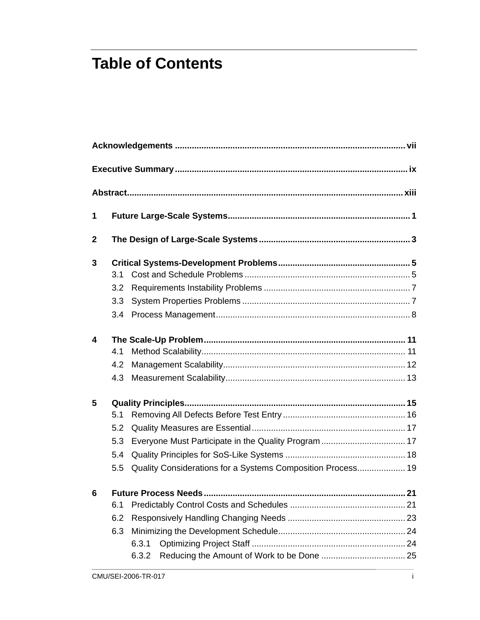# **Table of Contents**

| 1                |                                 |                                                                                                                     |  |
|------------------|---------------------------------|---------------------------------------------------------------------------------------------------------------------|--|
| $\overline{2}$   |                                 |                                                                                                                     |  |
| 3                | 3.1<br>3.2<br>3.3<br>3.4        |                                                                                                                     |  |
| $\boldsymbol{4}$ | 4.1<br>4.2<br>4.3               |                                                                                                                     |  |
| 5                | 5.1<br>5.2<br>5.3<br>5.4<br>5.5 | Everyone Must Participate in the Quality Program  17<br>Quality Considerations for a Systems Composition Process 19 |  |
| $6\phantom{1}6$  | 6.1<br>6.2<br>6.3               | 6.3.1<br>6.3.2                                                                                                      |  |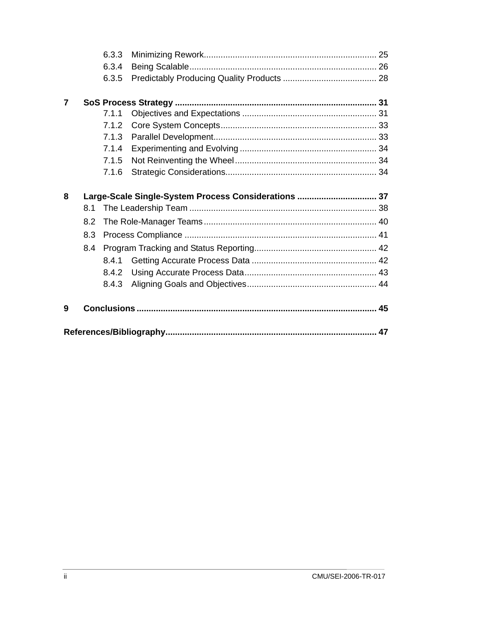|                         |     | 6.3.3 |                                                      |  |
|-------------------------|-----|-------|------------------------------------------------------|--|
|                         |     | 6.3.4 |                                                      |  |
|                         |     | 6.3.5 |                                                      |  |
| $\overline{\mathbf{z}}$ |     |       |                                                      |  |
|                         |     | 7.1.1 |                                                      |  |
|                         |     | 7.1.2 |                                                      |  |
|                         |     | 7.1.3 |                                                      |  |
|                         |     | 7.1.4 |                                                      |  |
|                         |     | 7.1.5 |                                                      |  |
|                         |     | 7.1.6 |                                                      |  |
|                         |     |       |                                                      |  |
| 8                       |     |       | Large-Scale Single-System Process Considerations  37 |  |
|                         | 8.1 |       |                                                      |  |
|                         | 8.2 |       |                                                      |  |
|                         | 8.3 |       |                                                      |  |
|                         | 8.4 |       |                                                      |  |
|                         |     | 8.4.1 |                                                      |  |
|                         |     | 8.4.2 |                                                      |  |
|                         |     | 8.4.3 |                                                      |  |
|                         |     |       |                                                      |  |
|                         |     |       |                                                      |  |
| 9                       |     |       |                                                      |  |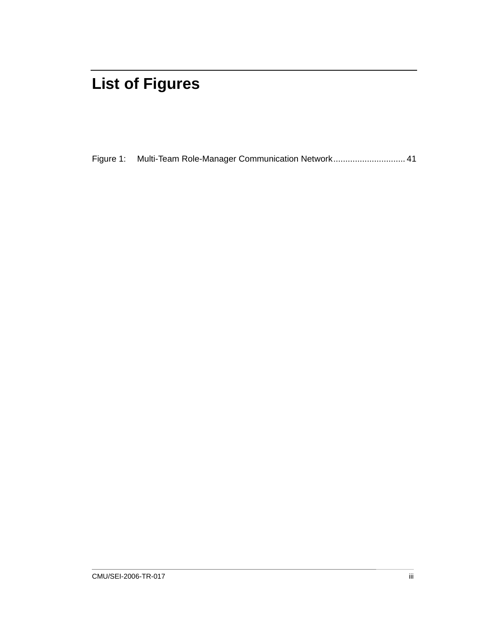# **List of Figures**

Figure 1: [Multi-Team Role-Manager Communication Network....](#page-58-0)............................ [41](#page-58-0)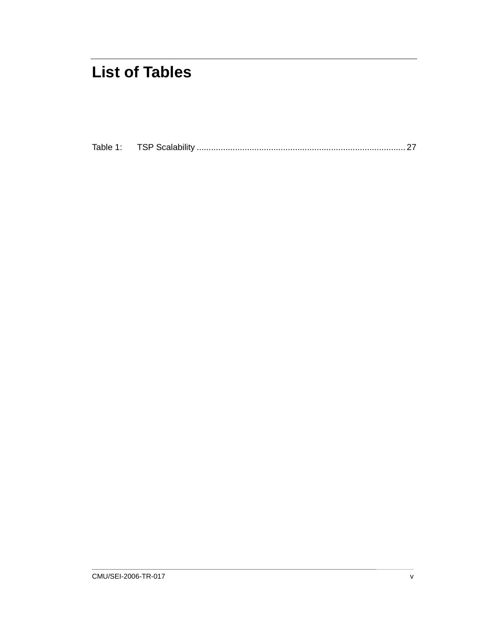# **List of Tables**

|--|--|--|--|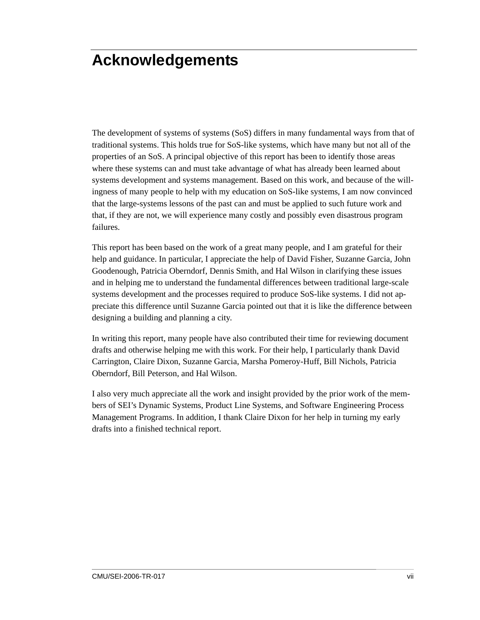# <span id="page-10-0"></span>**Acknowledgements**

The development of systems of systems (SoS) differs in many fundamental ways from that of traditional systems. This holds true for SoS-like systems, which have many but not all of the properties of an SoS. A principal objective of this report has been to identify those areas where these systems can and must take advantage of what has already been learned about systems development and systems management. Based on this work, and because of the willingness of many people to help with my education on SoS-like systems, I am now convinced that the large-systems lessons of the past can and must be applied to such future work and that, if they are not, we will experience many costly and possibly even disastrous program failures.

This report has been based on the work of a great many people, and I am grateful for their help and guidance. In particular, I appreciate the help of David Fisher, Suzanne Garcia, John Goodenough, Patricia Oberndorf, Dennis Smith, and Hal Wilson in clarifying these issues and in helping me to understand the fundamental differences between traditional large-scale systems development and the processes required to produce SoS-like systems. I did not appreciate this difference until Suzanne Garcia pointed out that it is like the difference between designing a building and planning a city.

In writing this report, many people have also contributed their time for reviewing document drafts and otherwise helping me with this work. For their help, I particularly thank David Carrington, Claire Dixon, Suzanne Garcia, Marsha Pomeroy-Huff, Bill Nichols, Patricia Oberndorf, Bill Peterson, and Hal Wilson.

I also very much appreciate all the work and insight provided by the prior work of the members of SEI's Dynamic Systems, Product Line Systems, and Software Engineering Process Management Programs. In addition, I thank Claire Dixon for her help in turning my early drafts into a finished technical report.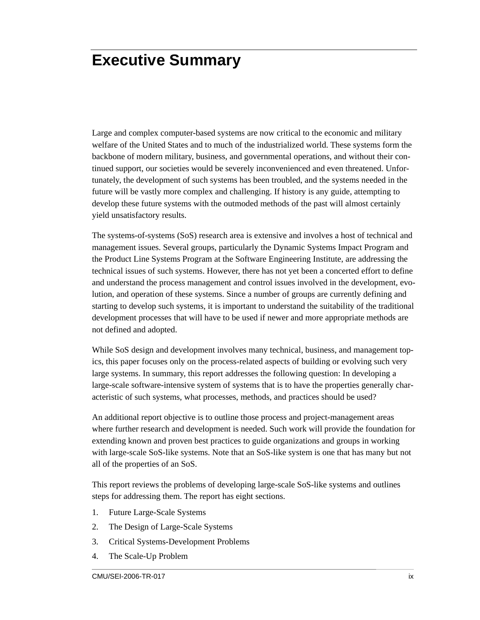# <span id="page-12-0"></span>**Executive Summary**

Large and complex computer-based systems are now critical to the economic and military welfare of the United States and to much of the industrialized world. These systems form the backbone of modern military, business, and governmental operations, and without their continued support, our societies would be severely inconvenienced and even threatened. Unfortunately, the development of such systems has been troubled, and the systems needed in the future will be vastly more complex and challenging. If history is any guide, attempting to develop these future systems with the outmoded methods of the past will almost certainly yield unsatisfactory results.

The systems-of-systems (SoS) research area is extensive and involves a host of technical and management issues. Several groups, particularly the Dynamic Systems Impact Program and the Product Line Systems Program at the Software Engineering Institute, are addressing the technical issues of such systems. However, there has not yet been a concerted effort to define and understand the process management and control issues involved in the development, evolution, and operation of these systems. Since a number of groups are currently defining and starting to develop such systems, it is important to understand the suitability of the traditional development processes that will have to be used if newer and more appropriate methods are not defined and adopted.

While SoS design and development involves many technical, business, and management topics, this paper focuses only on the process-related aspects of building or evolving such very large systems. In summary, this report addresses the following question: In developing a large-scale software-intensive system of systems that is to have the properties generally characteristic of such systems, what processes, methods, and practices should be used?

An additional report objective is to outline those process and project-management areas where further research and development is needed. Such work will provide the foundation for extending known and proven best practices to guide organizations and groups in working with large-scale SoS-like systems. Note that an SoS-like system is one that has many but not all of the properties of an SoS.

This report reviews the problems of developing large-scale SoS-like systems and outlines steps for addressing them. The report has eight sections.

- 1. Future Large-Scale Systems
- 2. The Design of Large-Scale Systems
- 3. Critical Systems-Development Problems
- 4. The Scale-Up Problem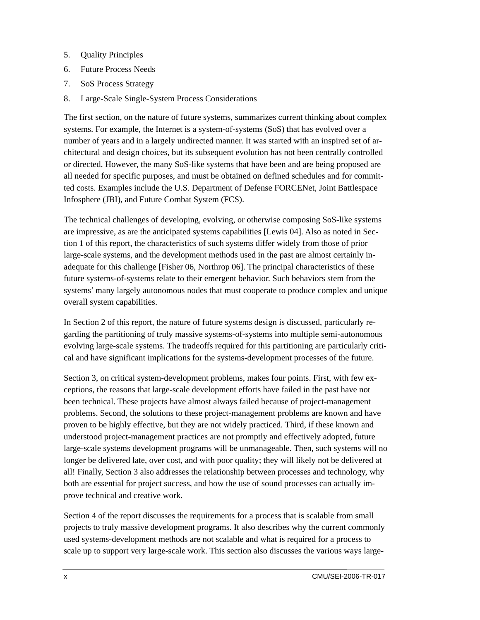- 5. Quality Principles
- 6. Future Process Needs
- 7. SoS Process Strategy
- 8. Large-Scale Single-System Process Considerations

The first section, on the nature of future systems, summarizes current thinking about complex systems. For example, the Internet is a system-of-systems (SoS) that has evolved over a number of years and in a largely undirected manner. It was started with an inspired set of architectural and design choices, but its subsequent evolution has not been centrally controlled or directed. However, the many SoS-like systems that have been and are being proposed are all needed for specific purposes, and must be obtained on defined schedules and for committed costs. Examples include the U.S. Department of Defense FORCENet, Joint Battlespace Infosphere (JBI), and Future Combat System (FCS).

The technical challenges of developing, evolving, or otherwise composing SoS-like systems are impressive, as are the anticipated systems capabilities [Lewis 04]. Also as noted in Section 1 of this report, the characteristics of such systems differ widely from those of prior large-scale systems, and the development methods used in the past are almost certainly inadequate for this challenge [Fisher 06, Northrop 06]. The principal characteristics of these future systems-of-systems relate to their emergent behavior. Such behaviors stem from the systems' many largely autonomous nodes that must cooperate to produce complex and unique overall system capabilities.

In Section 2 of this report, the nature of future systems design is discussed, particularly regarding the partitioning of truly massive systems-of-systems into multiple semi-autonomous evolving large-scale systems. The tradeoffs required for this partitioning are particularly critical and have significant implications for the systems-development processes of the future.

Section 3, on critical system-development problems, makes four points. First, with few exceptions, the reasons that large-scale development efforts have failed in the past have not been technical. These projects have almost always failed because of project-management problems. Second, the solutions to these project-management problems are known and have proven to be highly effective, but they are not widely practiced. Third, if these known and understood project-management practices are not promptly and effectively adopted, future large-scale systems development programs will be unmanageable. Then, such systems will no longer be delivered late, over cost, and with poor quality; they will likely not be delivered at all! Finally, Section 3 also addresses the relationship between processes and technology, why both are essential for project success, and how the use of sound processes can actually improve technical and creative work.

Section 4 of the report discusses the requirements for a process that is scalable from small projects to truly massive development programs. It also describes why the current commonly used systems-development methods are not scalable and what is required for a process to scale up to support very large-scale work. This section also discusses the various ways large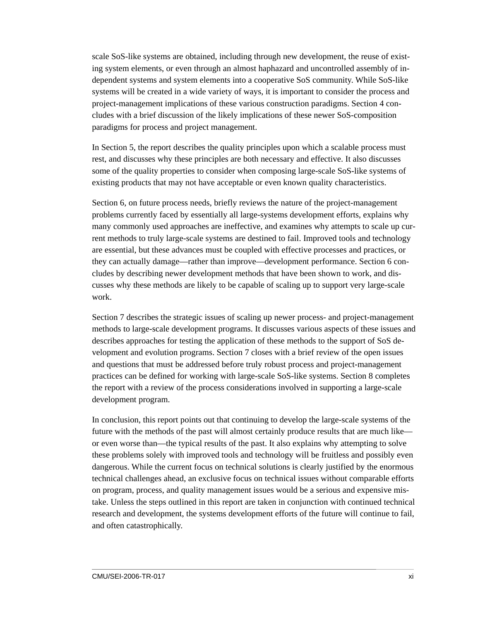scale SoS-like systems are obtained, including through new development, the reuse of existing system elements, or even through an almost haphazard and uncontrolled assembly of independent systems and system elements into a cooperative SoS community. While SoS-like systems will be created in a wide variety of ways, it is important to consider the process and project-management implications of these various construction paradigms. Section 4 concludes with a brief discussion of the likely implications of these newer SoS-composition paradigms for process and project management.

In Section 5, the report describes the quality principles upon which a scalable process must rest, and discusses why these principles are both necessary and effective. It also discusses some of the quality properties to consider when composing large-scale SoS-like systems of existing products that may not have acceptable or even known quality characteristics.

Section 6, on future process needs, briefly reviews the nature of the project-management problems currently faced by essentially all large-systems development efforts, explains why many commonly used approaches are ineffective, and examines why attempts to scale up current methods to truly large-scale systems are destined to fail. Improved tools and technology are essential, but these advances must be coupled with effective processes and practices, or they can actually damage—rather than improve—development performance. Section 6 concludes by describing newer development methods that have been shown to work, and discusses why these methods are likely to be capable of scaling up to support very large-scale work.

Section 7 describes the strategic issues of scaling up newer process- and project-management methods to large-scale development programs. It discusses various aspects of these issues and describes approaches for testing the application of these methods to the support of SoS development and evolution programs. Section 7 closes with a brief review of the open issues and questions that must be addressed before truly robust process and project-management practices can be defined for working with large-scale SoS-like systems. Section 8 completes the report with a review of the process considerations involved in supporting a large-scale development program.

In conclusion, this report points out that continuing to develop the large-scale systems of the future with the methods of the past will almost certainly produce results that are much like or even worse than—the typical results of the past. It also explains why attempting to solve these problems solely with improved tools and technology will be fruitless and possibly even dangerous. While the current focus on technical solutions is clearly justified by the enormous technical challenges ahead, an exclusive focus on technical issues without comparable efforts on program, process, and quality management issues would be a serious and expensive mistake. Unless the steps outlined in this report are taken in conjunction with continued technical research and development, the systems development efforts of the future will continue to fail, and often catastrophically.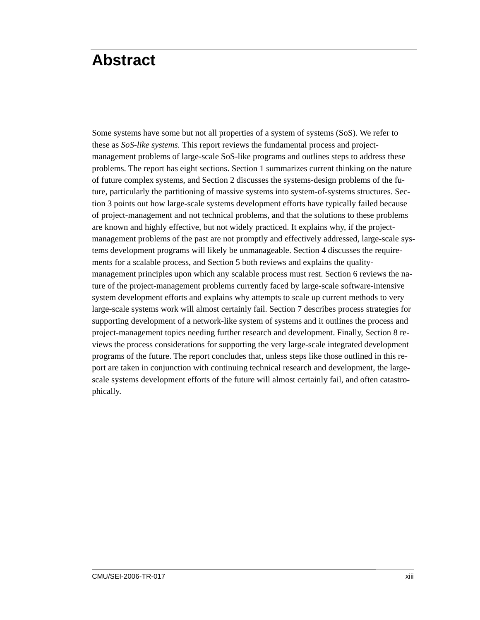# <span id="page-16-0"></span>**Abstract**

Some systems have some but not all properties of a system of systems (SoS). We refer to these as *SoS-like systems.* This report reviews the fundamental process and projectmanagement problems of large-scale SoS-like programs and outlines steps to address these problems. The report has eight sections. Section 1 summarizes current thinking on the nature of future complex systems, and Section 2 discusses the systems-design problems of the future, particularly the partitioning of massive systems into system-of-systems structures. Section 3 points out how large-scale systems development efforts have typically failed because of project-management and not technical problems, and that the solutions to these problems are known and highly effective, but not widely practiced. It explains why, if the projectmanagement problems of the past are not promptly and effectively addressed, large-scale systems development programs will likely be unmanageable. Section 4 discusses the requirements for a scalable process, and Section 5 both reviews and explains the qualitymanagement principles upon which any scalable process must rest. Section 6 reviews the nature of the project-management problems currently faced by large-scale software-intensive system development efforts and explains why attempts to scale up current methods to very large-scale systems work will almost certainly fail. Section 7 describes process strategies for supporting development of a network-like system of systems and it outlines the process and project-management topics needing further research and development. Finally, Section 8 reviews the process considerations for supporting the very large-scale integrated development programs of the future. The report concludes that, unless steps like those outlined in this report are taken in conjunction with continuing technical research and development, the largescale systems development efforts of the future will almost certainly fail, and often catastrophically.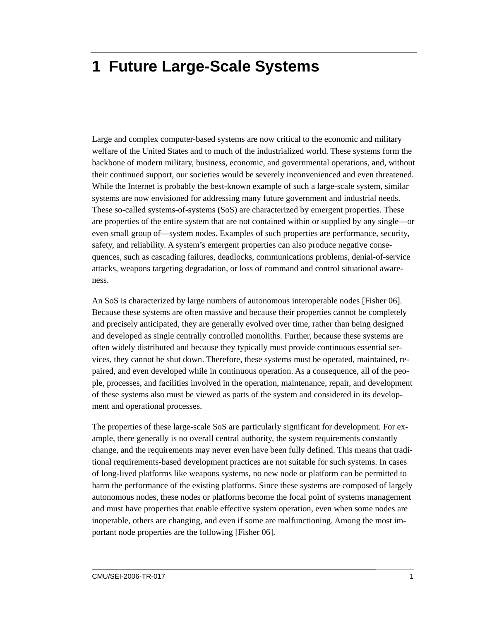# <span id="page-18-0"></span>**1 Future Large-Scale Systems**

Large and complex computer-based systems are now critical to the economic and military welfare of the United States and to much of the industrialized world. These systems form the backbone of modern military, business, economic, and governmental operations, and, without their continued support, our societies would be severely inconvenienced and even threatened. While the Internet is probably the best-known example of such a large-scale system, similar systems are now envisioned for addressing many future government and industrial needs. These so-called systems-of-systems (SoS) are characterized by emergent properties. These are properties of the entire system that are not contained within or supplied by any single—or even small group of—system nodes. Examples of such properties are performance, security, safety, and reliability. A system's emergent properties can also produce negative consequences, such as cascading failures, deadlocks, communications problems, denial-of-service attacks, weapons targeting degradation, or loss of command and control situational awareness.

An SoS is characterized by large numbers of autonomous interoperable nodes [Fisher 06]. Because these systems are often massive and because their properties cannot be completely and precisely anticipated, they are generally evolved over time, rather than being designed and developed as single centrally controlled monoliths. Further, because these systems are often widely distributed and because they typically must provide continuous essential services, they cannot be shut down. Therefore, these systems must be operated, maintained, repaired, and even developed while in continuous operation. As a consequence, all of the people, processes, and facilities involved in the operation, maintenance, repair, and development of these systems also must be viewed as parts of the system and considered in its development and operational processes.

The properties of these large-scale SoS are particularly significant for development. For example, there generally is no overall central authority, the system requirements constantly change, and the requirements may never even have been fully defined. This means that traditional requirements-based development practices are not suitable for such systems. In cases of long-lived platforms like weapons systems, no new node or platform can be permitted to harm the performance of the existing platforms. Since these systems are composed of largely autonomous nodes, these nodes or platforms become the focal point of systems management and must have properties that enable effective system operation, even when some nodes are inoperable, others are changing, and even if some are malfunctioning. Among the most important node properties are the following [Fisher 06].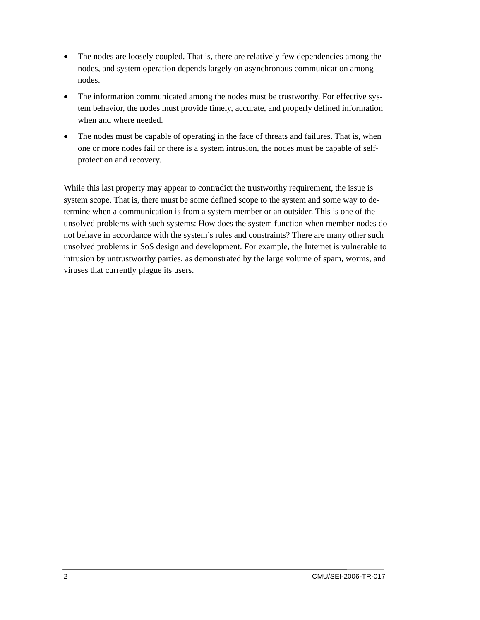- The nodes are loosely coupled. That is, there are relatively few dependencies among the nodes, and system operation depends largely on asynchronous communication among nodes.
- The information communicated among the nodes must be trustworthy. For effective system behavior, the nodes must provide timely, accurate, and properly defined information when and where needed.
- The nodes must be capable of operating in the face of threats and failures. That is, when one or more nodes fail or there is a system intrusion, the nodes must be capable of selfprotection and recovery.

While this last property may appear to contradict the trustworthy requirement, the issue is system scope. That is, there must be some defined scope to the system and some way to determine when a communication is from a system member or an outsider. This is one of the unsolved problems with such systems: How does the system function when member nodes do not behave in accordance with the system's rules and constraints? There are many other such unsolved problems in SoS design and development. For example, the Internet is vulnerable to intrusion by untrustworthy parties, as demonstrated by the large volume of spam, worms, and viruses that currently plague its users.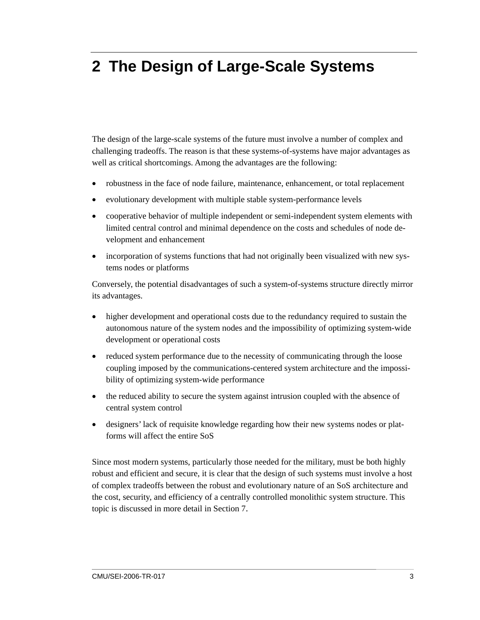# <span id="page-20-0"></span>**2 The Design of Large-Scale Systems**

The design of the large-scale systems of the future must involve a number of complex and challenging tradeoffs. The reason is that these systems-of-systems have major advantages as well as critical shortcomings. Among the advantages are the following:

- robustness in the face of node failure, maintenance, enhancement, or total replacement
- evolutionary development with multiple stable system-performance levels
- cooperative behavior of multiple independent or semi-independent system elements with limited central control and minimal dependence on the costs and schedules of node development and enhancement
- incorporation of systems functions that had not originally been visualized with new systems nodes or platforms

Conversely, the potential disadvantages of such a system-of-systems structure directly mirror its advantages.

- higher development and operational costs due to the redundancy required to sustain the autonomous nature of the system nodes and the impossibility of optimizing system-wide development or operational costs
- reduced system performance due to the necessity of communicating through the loose coupling imposed by the communications-centered system architecture and the impossibility of optimizing system-wide performance
- the reduced ability to secure the system against intrusion coupled with the absence of central system control
- designers' lack of requisite knowledge regarding how their new systems nodes or platforms will affect the entire SoS

Since most modern systems, particularly those needed for the military, must be both highly robust and efficient and secure, it is clear that the design of such systems must involve a host of complex tradeoffs between the robust and evolutionary nature of an SoS architecture and the cost, security, and efficiency of a centrally controlled monolithic system structure. This topic is discussed in more detail in Section 7.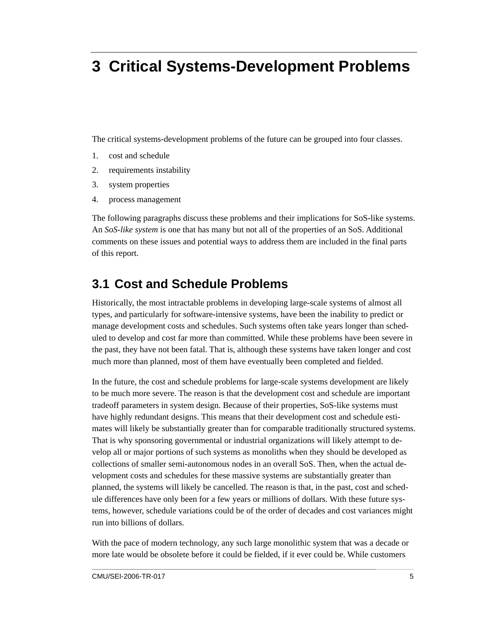# <span id="page-22-0"></span>**3 Critical Systems-Development Problems**

The critical systems-development problems of the future can be grouped into four classes.

- 1. cost and schedule
- 2. requirements instability
- 3. system properties
- 4. process management

The following paragraphs discuss these problems and their implications for SoS-like systems. An *SoS-like system* is one that has many but not all of the properties of an SoS. Additional comments on these issues and potential ways to address them are included in the final parts of this report.

### **3.1 Cost and Schedule Problems**

Historically, the most intractable problems in developing large-scale systems of almost all types, and particularly for software-intensive systems, have been the inability to predict or manage development costs and schedules. Such systems often take years longer than scheduled to develop and cost far more than committed. While these problems have been severe in the past, they have not been fatal. That is, although these systems have taken longer and cost much more than planned, most of them have eventually been completed and fielded.

In the future, the cost and schedule problems for large-scale systems development are likely to be much more severe. The reason is that the development cost and schedule are important tradeoff parameters in system design. Because of their properties, SoS-like systems must have highly redundant designs. This means that their development cost and schedule estimates will likely be substantially greater than for comparable traditionally structured systems. That is why sponsoring governmental or industrial organizations will likely attempt to develop all or major portions of such systems as monoliths when they should be developed as collections of smaller semi-autonomous nodes in an overall SoS. Then, when the actual development costs and schedules for these massive systems are substantially greater than planned, the systems will likely be cancelled. The reason is that, in the past, cost and schedule differences have only been for a few years or millions of dollars. With these future systems, however, schedule variations could be of the order of decades and cost variances might run into billions of dollars.

With the pace of modern technology, any such large monolithic system that was a decade or more late would be obsolete before it could be fielded, if it ever could be. While customers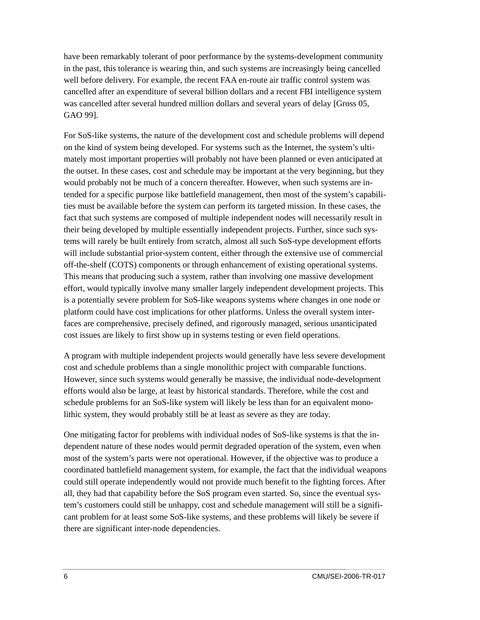have been remarkably tolerant of poor performance by the systems-development community in the past, this tolerance is wearing thin, and such systems are increasingly being cancelled well before delivery. For example, the recent FAA en-route air traffic control system was cancelled after an expenditure of several billion dollars and a recent FBI intelligence system was cancelled after several hundred million dollars and several years of delay [Gross 05, GAO 99].

For SoS-like systems, the nature of the development cost and schedule problems will depend on the kind of system being developed. For systems such as the Internet, the system's ultimately most important properties will probably not have been planned or even anticipated at the outset. In these cases, cost and schedule may be important at the very beginning, but they would probably not be much of a concern thereafter. However, when such systems are intended for a specific purpose like battlefield management, then most of the system's capabilities must be available before the system can perform its targeted mission. In these cases, the fact that such systems are composed of multiple independent nodes will necessarily result in their being developed by multiple essentially independent projects. Further, since such systems will rarely be built entirely from scratch, almost all such SoS-type development efforts will include substantial prior-system content, either through the extensive use of commercial off-the-shelf (COTS) components or through enhancement of existing operational systems. This means that producing such a system, rather than involving one massive development effort, would typically involve many smaller largely independent development projects. This is a potentially severe problem for SoS-like weapons systems where changes in one node or platform could have cost implications for other platforms. Unless the overall system interfaces are comprehensive, precisely defined, and rigorously managed, serious unanticipated cost issues are likely to first show up in systems testing or even field operations.

A program with multiple independent projects would generally have less severe development cost and schedule problems than a single monolithic project with comparable functions. However, since such systems would generally be massive, the individual node-development efforts would also be large, at least by historical standards. Therefore, while the cost and schedule problems for an SoS-like system will likely be less than for an equivalent monolithic system, they would probably still be at least as severe as they are today.

One mitigating factor for problems with individual nodes of SoS-like systems is that the independent nature of these nodes would permit degraded operation of the system, even when most of the system's parts were not operational. However, if the objective was to produce a coordinated battlefield management system, for example, the fact that the individual weapons could still operate independently would not provide much benefit to the fighting forces. After all, they had that capability before the SoS program even started. So, since the eventual system's customers could still be unhappy, cost and schedule management will still be a significant problem for at least some SoS-like systems, and these problems will likely be severe if there are significant inter-node dependencies.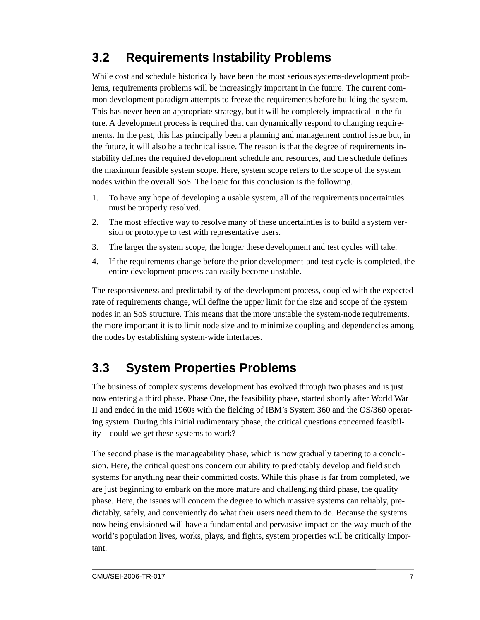### <span id="page-24-0"></span>**3.2 Requirements Instability Problems**

While cost and schedule historically have been the most serious systems-development problems, requirements problems will be increasingly important in the future. The current common development paradigm attempts to freeze the requirements before building the system. This has never been an appropriate strategy, but it will be completely impractical in the future. A development process is required that can dynamically respond to changing requirements. In the past, this has principally been a planning and management control issue but, in the future, it will also be a technical issue. The reason is that the degree of requirements instability defines the required development schedule and resources, and the schedule defines the maximum feasible system scope. Here, system scope refers to the scope of the system nodes within the overall SoS. The logic for this conclusion is the following.

- 1. To have any hope of developing a usable system, all of the requirements uncertainties must be properly resolved.
- 2. The most effective way to resolve many of these uncertainties is to build a system version or prototype to test with representative users.
- 3. The larger the system scope, the longer these development and test cycles will take.
- 4. If the requirements change before the prior development-and-test cycle is completed, the entire development process can easily become unstable.

The responsiveness and predictability of the development process, coupled with the expected rate of requirements change, will define the upper limit for the size and scope of the system nodes in an SoS structure. This means that the more unstable the system-node requirements, the more important it is to limit node size and to minimize coupling and dependencies among the nodes by establishing system-wide interfaces.

### **3.3 System Properties Problems**

The business of complex systems development has evolved through two phases and is just now entering a third phase. Phase One, the feasibility phase, started shortly after World War II and ended in the mid 1960s with the fielding of IBM's System 360 and the OS/360 operating system. During this initial rudimentary phase, the critical questions concerned feasibility—could we get these systems to work?

The second phase is the manageability phase, which is now gradually tapering to a conclusion. Here, the critical questions concern our ability to predictably develop and field such systems for anything near their committed costs. While this phase is far from completed, we are just beginning to embark on the more mature and challenging third phase, the quality phase. Here, the issues will concern the degree to which massive systems can reliably, predictably, safely, and conveniently do what their users need them to do. Because the systems now being envisioned will have a fundamental and pervasive impact on the way much of the world's population lives, works, plays, and fights, system properties will be critically important.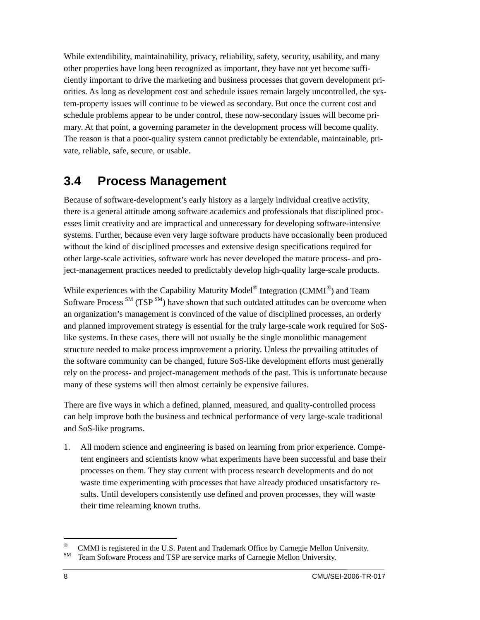<span id="page-25-0"></span>While extendibility, maintainability, privacy, reliability, safety, security, usability, and many other properties have long been recognized as important, they have not yet become sufficiently important to drive the marketing and business processes that govern development priorities. As long as development cost and schedule issues remain largely uncontrolled, the system-property issues will continue to be viewed as secondary. But once the current cost and schedule problems appear to be under control, these now-secondary issues will become primary. At that point, a governing parameter in the development process will become quality. The reason is that a poor-quality system cannot predictably be extendable, maintainable, private, reliable, safe, secure, or usable.

### **3.4 Process Management**

Because of software-development's early history as a largely individual creative activity, there is a general attitude among software academics and professionals that disciplined processes limit creativity and are impractical and unnecessary for developing software-intensive systems. Further, because even very large software products have occasionally been produced without the kind of disciplined processes and extensive design specifications required for other large-scale activities, software work has never developed the mature process- and project-management practices needed to predictably develop high-quality large-scale products.

While experiences with the Capability Maturity Model<sup>[®](#page-25-1)</sup> Integration (CMMI<sup>®</sup>) and Team Software Process  $^{SM}$  (TSP  $^{SM}$ ) have shown that such outdated attitudes can be overcome when an organization's management is convinced of the value of disciplined processes, an orderly and planned improvement strategy is essential for the truly large-scale work required for SoSlike systems. In these cases, there will not usually be the single monolithic management structure needed to make process improvement a priority. Unless the prevailing attitudes of the software community can be changed, future SoS-like development efforts must generally rely on the process- and project-management methods of the past. This is unfortunate because many of these systems will then almost certainly be expensive failures.

There are five ways in which a defined, planned, measured, and quality-controlled process can help improve both the business and technical performance of very large-scale traditional and SoS-like programs.

1. All modern science and engineering is based on learning from prior experience. Competent engineers and scientists know what experiments have been successful and base their processes on them. They stay current with process research developments and do not waste time experimenting with processes that have already produced unsatisfactory results. Until developers consistently use defined and proven processes, they will waste their time relearning known truths.

1

<span id="page-25-1"></span><sup>&</sup>lt;sup>®</sup> CMMI is registered in the U.S. Patent and Trademark Office by Carnegie Mellon University.<br><sup>SM</sup> Team Software Process and TSP are service marks of Carnegie Mellon University.

<span id="page-25-3"></span><span id="page-25-2"></span>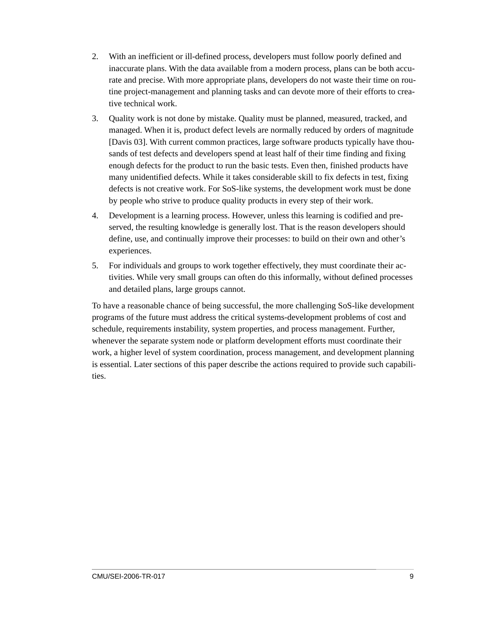- 2. With an inefficient or ill-defined process, developers must follow poorly defined and inaccurate plans. With the data available from a modern process, plans can be both accurate and precise. With more appropriate plans, developers do not waste their time on routine project-management and planning tasks and can devote more of their efforts to creative technical work.
- 3. Quality work is not done by mistake. Quality must be planned, measured, tracked, and managed. When it is, product defect levels are normally reduced by orders of magnitude [Davis 03]. With current common practices, large software products typically have thousands of test defects and developers spend at least half of their time finding and fixing enough defects for the product to run the basic tests. Even then, finished products have many unidentified defects. While it takes considerable skill to fix defects in test, fixing defects is not creative work. For SoS-like systems, the development work must be done by people who strive to produce quality products in every step of their work.
- 4. Development is a learning process. However, unless this learning is codified and preserved, the resulting knowledge is generally lost. That is the reason developers should define, use, and continually improve their processes: to build on their own and other's experiences.
- 5. For individuals and groups to work together effectively, they must coordinate their activities. While very small groups can often do this informally, without defined processes and detailed plans, large groups cannot.

To have a reasonable chance of being successful, the more challenging SoS-like development programs of the future must address the critical systems-development problems of cost and schedule, requirements instability, system properties, and process management. Further, whenever the separate system node or platform development efforts must coordinate their work, a higher level of system coordination, process management, and development planning is essential. Later sections of this paper describe the actions required to provide such capabilities.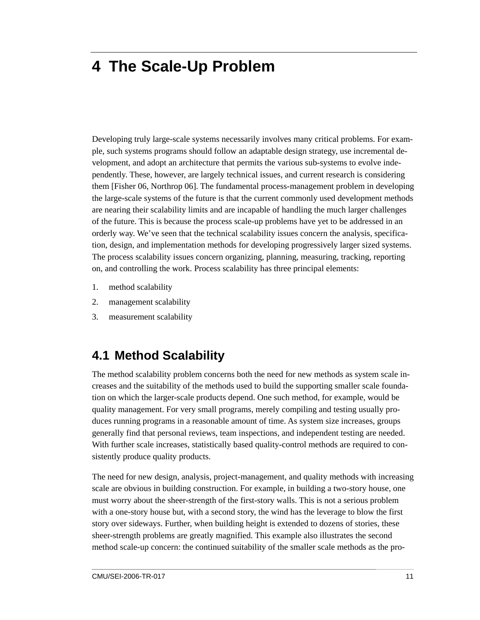# <span id="page-28-0"></span>**4 The Scale-Up Problem**

Developing truly large-scale systems necessarily involves many critical problems. For example, such systems programs should follow an adaptable design strategy, use incremental development, and adopt an architecture that permits the various sub-systems to evolve independently. These, however, are largely technical issues, and current research is considering them [Fisher 06, Northrop 06]. The fundamental process-management problem in developing the large-scale systems of the future is that the current commonly used development methods are nearing their scalability limits and are incapable of handling the much larger challenges of the future. This is because the process scale-up problems have yet to be addressed in an orderly way. We've seen that the technical scalability issues concern the analysis, specification, design, and implementation methods for developing progressively larger sized systems. The process scalability issues concern organizing, planning, measuring, tracking, reporting on, and controlling the work. Process scalability has three principal elements:

- 1. method scalability
- 2. management scalability
- 3. measurement scalability

### **4.1 Method Scalability**

The method scalability problem concerns both the need for new methods as system scale increases and the suitability of the methods used to build the supporting smaller scale foundation on which the larger-scale products depend. One such method, for example, would be quality management. For very small programs, merely compiling and testing usually produces running programs in a reasonable amount of time. As system size increases, groups generally find that personal reviews, team inspections, and independent testing are needed. With further scale increases, statistically based quality-control methods are required to consistently produce quality products.

The need for new design, analysis, project-management, and quality methods with increasing scale are obvious in building construction. For example, in building a two-story house, one must worry about the sheer-strength of the first-story walls. This is not a serious problem with a one-story house but, with a second story, the wind has the leverage to blow the first story over sideways. Further, when building height is extended to dozens of stories, these sheer-strength problems are greatly magnified. This example also illustrates the second method scale-up concern: the continued suitability of the smaller scale methods as the pro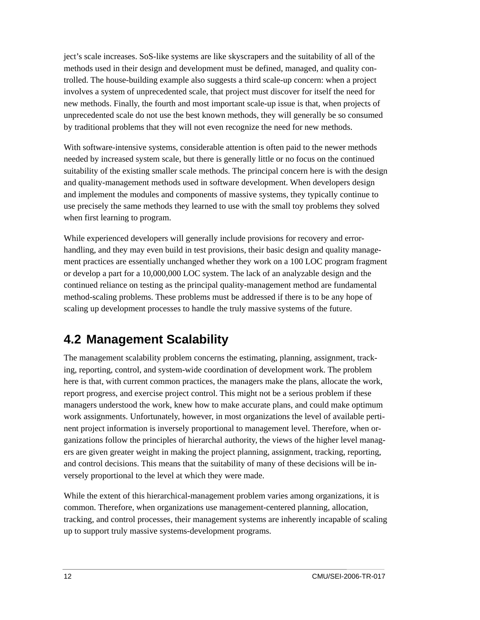<span id="page-29-0"></span>ject's scale increases. SoS-like systems are like skyscrapers and the suitability of all of the methods used in their design and development must be defined, managed, and quality controlled. The house-building example also suggests a third scale-up concern: when a project involves a system of unprecedented scale, that project must discover for itself the need for new methods. Finally, the fourth and most important scale-up issue is that, when projects of unprecedented scale do not use the best known methods, they will generally be so consumed by traditional problems that they will not even recognize the need for new methods.

With software-intensive systems, considerable attention is often paid to the newer methods needed by increased system scale, but there is generally little or no focus on the continued suitability of the existing smaller scale methods. The principal concern here is with the design and quality-management methods used in software development. When developers design and implement the modules and components of massive systems, they typically continue to use precisely the same methods they learned to use with the small toy problems they solved when first learning to program.

While experienced developers will generally include provisions for recovery and errorhandling, and they may even build in test provisions, their basic design and quality management practices are essentially unchanged whether they work on a 100 LOC program fragment or develop a part for a 10,000,000 LOC system. The lack of an analyzable design and the continued reliance on testing as the principal quality-management method are fundamental method-scaling problems. These problems must be addressed if there is to be any hope of scaling up development processes to handle the truly massive systems of the future.

### **4.2 Management Scalability**

The management scalability problem concerns the estimating, planning, assignment, tracking, reporting, control, and system-wide coordination of development work. The problem here is that, with current common practices, the managers make the plans, allocate the work, report progress, and exercise project control. This might not be a serious problem if these managers understood the work, knew how to make accurate plans, and could make optimum work assignments. Unfortunately, however, in most organizations the level of available pertinent project information is inversely proportional to management level. Therefore, when organizations follow the principles of hierarchal authority, the views of the higher level managers are given greater weight in making the project planning, assignment, tracking, reporting, and control decisions. This means that the suitability of many of these decisions will be inversely proportional to the level at which they were made.

While the extent of this hierarchical-management problem varies among organizations, it is common. Therefore, when organizations use management-centered planning, allocation, tracking, and control processes, their management systems are inherently incapable of scaling up to support truly massive systems-development programs.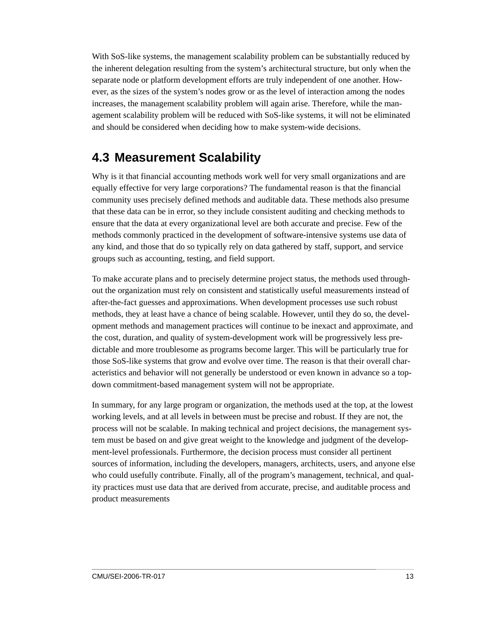<span id="page-30-0"></span>With SoS-like systems, the management scalability problem can be substantially reduced by the inherent delegation resulting from the system's architectural structure, but only when the separate node or platform development efforts are truly independent of one another. However, as the sizes of the system's nodes grow or as the level of interaction among the nodes increases, the management scalability problem will again arise. Therefore, while the management scalability problem will be reduced with SoS-like systems, it will not be eliminated and should be considered when deciding how to make system-wide decisions.

### **4.3 Measurement Scalability**

Why is it that financial accounting methods work well for very small organizations and are equally effective for very large corporations? The fundamental reason is that the financial community uses precisely defined methods and auditable data. These methods also presume that these data can be in error, so they include consistent auditing and checking methods to ensure that the data at every organizational level are both accurate and precise. Few of the methods commonly practiced in the development of software-intensive systems use data of any kind, and those that do so typically rely on data gathered by staff, support, and service groups such as accounting, testing, and field support.

To make accurate plans and to precisely determine project status, the methods used throughout the organization must rely on consistent and statistically useful measurements instead of after-the-fact guesses and approximations. When development processes use such robust methods, they at least have a chance of being scalable. However, until they do so, the development methods and management practices will continue to be inexact and approximate, and the cost, duration, and quality of system-development work will be progressively less predictable and more troublesome as programs become larger. This will be particularly true for those SoS-like systems that grow and evolve over time. The reason is that their overall characteristics and behavior will not generally be understood or even known in advance so a topdown commitment-based management system will not be appropriate.

In summary, for any large program or organization, the methods used at the top, at the lowest working levels, and at all levels in between must be precise and robust. If they are not, the process will not be scalable. In making technical and project decisions, the management system must be based on and give great weight to the knowledge and judgment of the development-level professionals. Furthermore, the decision process must consider all pertinent sources of information, including the developers, managers, architects, users, and anyone else who could usefully contribute. Finally, all of the program's management, technical, and quality practices must use data that are derived from accurate, precise, and auditable process and product measurements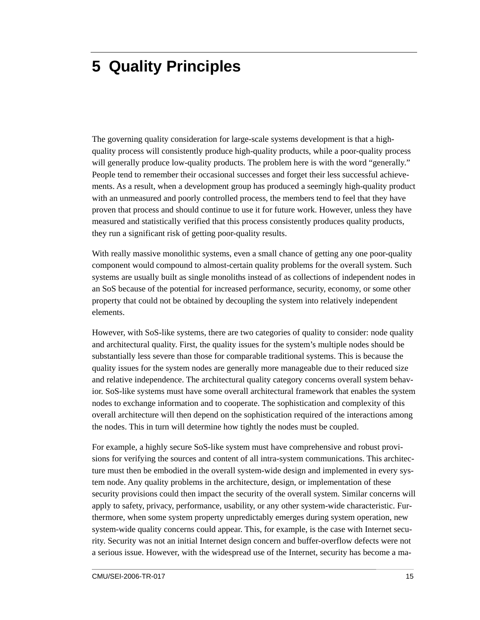# <span id="page-32-0"></span>**5 Quality Principles**

The governing quality consideration for large-scale systems development is that a highquality process will consistently produce high-quality products, while a poor-quality process will generally produce low-quality products. The problem here is with the word "generally." People tend to remember their occasional successes and forget their less successful achievements. As a result, when a development group has produced a seemingly high-quality product with an unmeasured and poorly controlled process, the members tend to feel that they have proven that process and should continue to use it for future work. However, unless they have measured and statistically verified that this process consistently produces quality products, they run a significant risk of getting poor-quality results.

With really massive monolithic systems, even a small chance of getting any one poor-quality component would compound to almost-certain quality problems for the overall system. Such systems are usually built as single monoliths instead of as collections of independent nodes in an SoS because of the potential for increased performance, security, economy, or some other property that could not be obtained by decoupling the system into relatively independent elements.

However, with SoS-like systems, there are two categories of quality to consider: node quality and architectural quality. First, the quality issues for the system's multiple nodes should be substantially less severe than those for comparable traditional systems. This is because the quality issues for the system nodes are generally more manageable due to their reduced size and relative independence. The architectural quality category concerns overall system behavior. SoS-like systems must have some overall architectural framework that enables the system nodes to exchange information and to cooperate. The sophistication and complexity of this overall architecture will then depend on the sophistication required of the interactions among the nodes. This in turn will determine how tightly the nodes must be coupled.

For example, a highly secure SoS-like system must have comprehensive and robust provisions for verifying the sources and content of all intra-system communications. This architecture must then be embodied in the overall system-wide design and implemented in every system node. Any quality problems in the architecture, design, or implementation of these security provisions could then impact the security of the overall system. Similar concerns will apply to safety, privacy, performance, usability, or any other system-wide characteristic. Furthermore, when some system property unpredictably emerges during system operation, new system-wide quality concerns could appear. This, for example, is the case with Internet security. Security was not an initial Internet design concern and buffer-overflow defects were not a serious issue. However, with the widespread use of the Internet, security has become a ma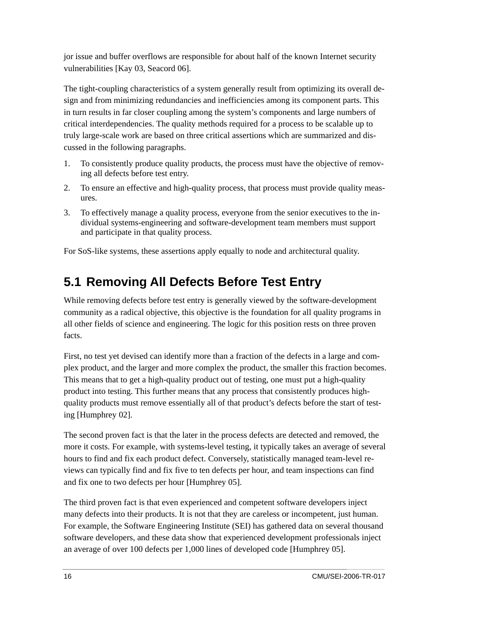<span id="page-33-0"></span>jor issue and buffer overflows are responsible for about half of the known Internet security vulnerabilities [Kay 03, Seacord 06].

The tight-coupling characteristics of a system generally result from optimizing its overall design and from minimizing redundancies and inefficiencies among its component parts. This in turn results in far closer coupling among the system's components and large numbers of critical interdependencies. The quality methods required for a process to be scalable up to truly large-scale work are based on three critical assertions which are summarized and discussed in the following paragraphs.

- 1. To consistently produce quality products, the process must have the objective of removing all defects before test entry.
- 2. To ensure an effective and high-quality process, that process must provide quality measures.
- 3. To effectively manage a quality process, everyone from the senior executives to the individual systems-engineering and software-development team members must support and participate in that quality process.

For SoS-like systems, these assertions apply equally to node and architectural quality.

### **5.1 Removing All Defects Before Test Entry**

While removing defects before test entry is generally viewed by the software-development community as a radical objective, this objective is the foundation for all quality programs in all other fields of science and engineering. The logic for this position rests on three proven facts.

First, no test yet devised can identify more than a fraction of the defects in a large and complex product, and the larger and more complex the product, the smaller this fraction becomes. This means that to get a high-quality product out of testing, one must put a high-quality product into testing. This further means that any process that consistently produces highquality products must remove essentially all of that product's defects before the start of testing [Humphrey 02].

The second proven fact is that the later in the process defects are detected and removed, the more it costs. For example, with systems-level testing, it typically takes an average of several hours to find and fix each product defect. Conversely, statistically managed team-level reviews can typically find and fix five to ten defects per hour, and team inspections can find and fix one to two defects per hour [Humphrey 05].

The third proven fact is that even experienced and competent software developers inject many defects into their products. It is not that they are careless or incompetent, just human. For example, the Software Engineering Institute (SEI) has gathered data on several thousand software developers, and these data show that experienced development professionals inject an average of over 100 defects per 1,000 lines of developed code [Humphrey 05].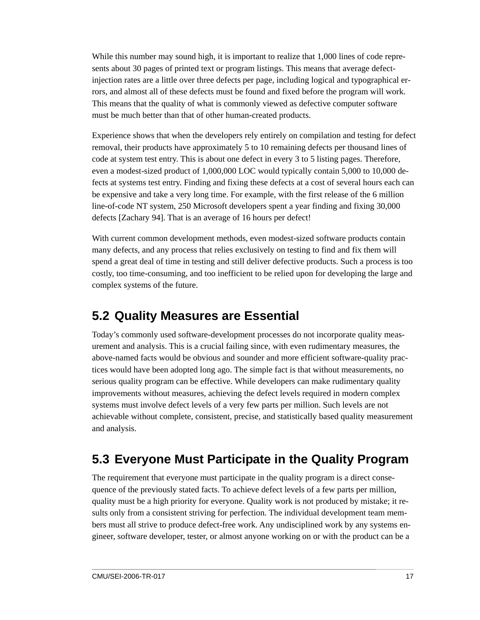<span id="page-34-0"></span>While this number may sound high, it is important to realize that 1,000 lines of code represents about 30 pages of printed text or program listings. This means that average defectinjection rates are a little over three defects per page, including logical and typographical errors, and almost all of these defects must be found and fixed before the program will work. This means that the quality of what is commonly viewed as defective computer software must be much better than that of other human-created products.

Experience shows that when the developers rely entirely on compilation and testing for defect removal, their products have approximately 5 to 10 remaining defects per thousand lines of code at system test entry. This is about one defect in every 3 to 5 listing pages. Therefore, even a modest-sized product of 1,000,000 LOC would typically contain 5,000 to 10,000 defects at systems test entry. Finding and fixing these defects at a cost of several hours each can be expensive and take a very long time. For example, with the first release of the 6 million line-of-code NT system, 250 Microsoft developers spent a year finding and fixing 30,000 defects [Zachary 94]. That is an average of 16 hours per defect!

With current common development methods, even modest-sized software products contain many defects, and any process that relies exclusively on testing to find and fix them will spend a great deal of time in testing and still deliver defective products. Such a process is too costly, too time-consuming, and too inefficient to be relied upon for developing the large and complex systems of the future.

### **5.2 Quality Measures are Essential**

Today's commonly used software-development processes do not incorporate quality measurement and analysis. This is a crucial failing since, with even rudimentary measures, the above-named facts would be obvious and sounder and more efficient software-quality practices would have been adopted long ago. The simple fact is that without measurements, no serious quality program can be effective. While developers can make rudimentary quality improvements without measures, achieving the defect levels required in modern complex systems must involve defect levels of a very few parts per million. Such levels are not achievable without complete, consistent, precise, and statistically based quality measurement and analysis.

### **5.3 Everyone Must Participate in the Quality Program**

The requirement that everyone must participate in the quality program is a direct consequence of the previously stated facts. To achieve defect levels of a few parts per million, quality must be a high priority for everyone. Quality work is not produced by mistake; it results only from a consistent striving for perfection. The individual development team members must all strive to produce defect-free work. Any undisciplined work by any systems engineer, software developer, tester, or almost anyone working on or with the product can be a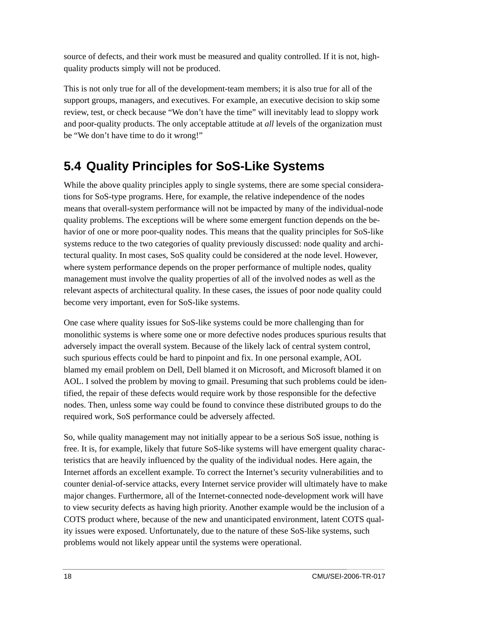<span id="page-35-0"></span>source of defects, and their work must be measured and quality controlled. If it is not, highquality products simply will not be produced.

This is not only true for all of the development-team members; it is also true for all of the support groups, managers, and executives. For example, an executive decision to skip some review, test, or check because "We don't have the time" will inevitably lead to sloppy work and poor-quality products. The only acceptable attitude at *all* levels of the organization must be "We don't have time to do it wrong!"

### **5.4 Quality Principles for SoS-Like Systems**

While the above quality principles apply to single systems, there are some special considerations for SoS-type programs. Here, for example, the relative independence of the nodes means that overall-system performance will not be impacted by many of the individual-node quality problems. The exceptions will be where some emergent function depends on the behavior of one or more poor-quality nodes. This means that the quality principles for SoS-like systems reduce to the two categories of quality previously discussed: node quality and architectural quality. In most cases, SoS quality could be considered at the node level. However, where system performance depends on the proper performance of multiple nodes, quality management must involve the quality properties of all of the involved nodes as well as the relevant aspects of architectural quality. In these cases, the issues of poor node quality could become very important, even for SoS-like systems.

One case where quality issues for SoS-like systems could be more challenging than for monolithic systems is where some one or more defective nodes produces spurious results that adversely impact the overall system. Because of the likely lack of central system control, such spurious effects could be hard to pinpoint and fix. In one personal example, AOL blamed my email problem on Dell, Dell blamed it on Microsoft, and Microsoft blamed it on AOL. I solved the problem by moving to gmail. Presuming that such problems could be identified, the repair of these defects would require work by those responsible for the defective nodes. Then, unless some way could be found to convince these distributed groups to do the required work, SoS performance could be adversely affected.

So, while quality management may not initially appear to be a serious SoS issue, nothing is free. It is, for example, likely that future SoS-like systems will have emergent quality characteristics that are heavily influenced by the quality of the individual nodes. Here again, the Internet affords an excellent example. To correct the Internet's security vulnerabilities and to counter denial-of-service attacks, every Internet service provider will ultimately have to make major changes. Furthermore, all of the Internet-connected node-development work will have to view security defects as having high priority. Another example would be the inclusion of a COTS product where, because of the new and unanticipated environment, latent COTS quality issues were exposed. Unfortunately, due to the nature of these SoS-like systems, such problems would not likely appear until the systems were operational.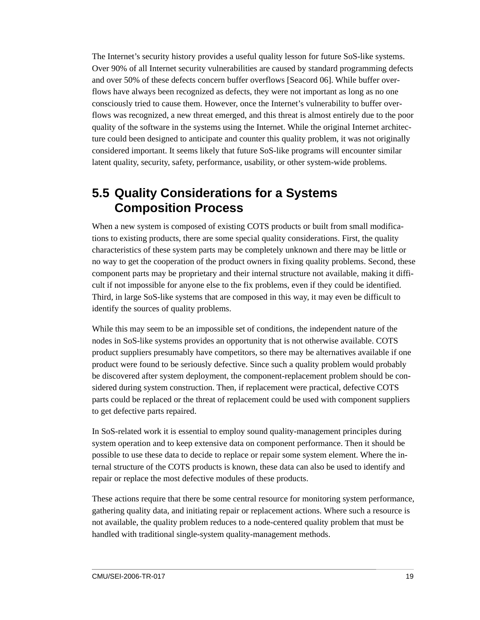<span id="page-36-0"></span>The Internet's security history provides a useful quality lesson for future SoS-like systems. Over 90% of all Internet security vulnerabilities are caused by standard programming defects and over 50% of these defects concern buffer overflows [Seacord 06]. While buffer overflows have always been recognized as defects, they were not important as long as no one consciously tried to cause them. However, once the Internet's vulnerability to buffer overflows was recognized, a new threat emerged, and this threat is almost entirely due to the poor quality of the software in the systems using the Internet. While the original Internet architecture could been designed to anticipate and counter this quality problem, it was not originally considered important. It seems likely that future SoS-like programs will encounter similar latent quality, security, safety, performance, usability, or other system-wide problems.

### **5.5 Quality Considerations for a Systems Composition Process**

When a new system is composed of existing COTS products or built from small modifications to existing products, there are some special quality considerations. First, the quality characteristics of these system parts may be completely unknown and there may be little or no way to get the cooperation of the product owners in fixing quality problems. Second, these component parts may be proprietary and their internal structure not available, making it difficult if not impossible for anyone else to the fix problems, even if they could be identified. Third, in large SoS-like systems that are composed in this way, it may even be difficult to identify the sources of quality problems.

While this may seem to be an impossible set of conditions, the independent nature of the nodes in SoS-like systems provides an opportunity that is not otherwise available. COTS product suppliers presumably have competitors, so there may be alternatives available if one product were found to be seriously defective. Since such a quality problem would probably be discovered after system deployment, the component-replacement problem should be considered during system construction. Then, if replacement were practical, defective COTS parts could be replaced or the threat of replacement could be used with component suppliers to get defective parts repaired.

In SoS-related work it is essential to employ sound quality-management principles during system operation and to keep extensive data on component performance. Then it should be possible to use these data to decide to replace or repair some system element. Where the internal structure of the COTS products is known, these data can also be used to identify and repair or replace the most defective modules of these products.

These actions require that there be some central resource for monitoring system performance, gathering quality data, and initiating repair or replacement actions. Where such a resource is not available, the quality problem reduces to a node-centered quality problem that must be handled with traditional single-system quality-management methods.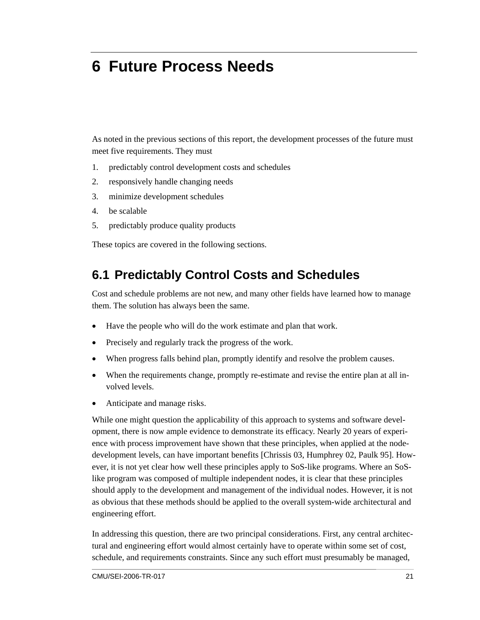# <span id="page-38-0"></span>**6 Future Process Needs**

As noted in the previous sections of this report, the development processes of the future must meet five requirements. They must

- 1. predictably control development costs and schedules
- 2. responsively handle changing needs
- 3. minimize development schedules
- 4. be scalable
- 5. predictably produce quality products

These topics are covered in the following sections.

### **6.1 Predictably Control Costs and Schedules**

Cost and schedule problems are not new, and many other fields have learned how to manage them. The solution has always been the same.

- Have the people who will do the work estimate and plan that work.
- Precisely and regularly track the progress of the work.
- When progress falls behind plan, promptly identify and resolve the problem causes.
- When the requirements change, promptly re-estimate and revise the entire plan at all involved levels.
- Anticipate and manage risks.

While one might question the applicability of this approach to systems and software development, there is now ample evidence to demonstrate its efficacy. Nearly 20 years of experience with process improvement have shown that these principles, when applied at the nodedevelopment levels, can have important benefits [Chrissis 03, Humphrey 02, Paulk 95]. However, it is not yet clear how well these principles apply to SoS-like programs. Where an SoSlike program was composed of multiple independent nodes, it is clear that these principles should apply to the development and management of the individual nodes. However, it is not as obvious that these methods should be applied to the overall system-wide architectural and engineering effort.

In addressing this question, there are two principal considerations. First, any central architectural and engineering effort would almost certainly have to operate within some set of cost, schedule, and requirements constraints. Since any such effort must presumably be managed,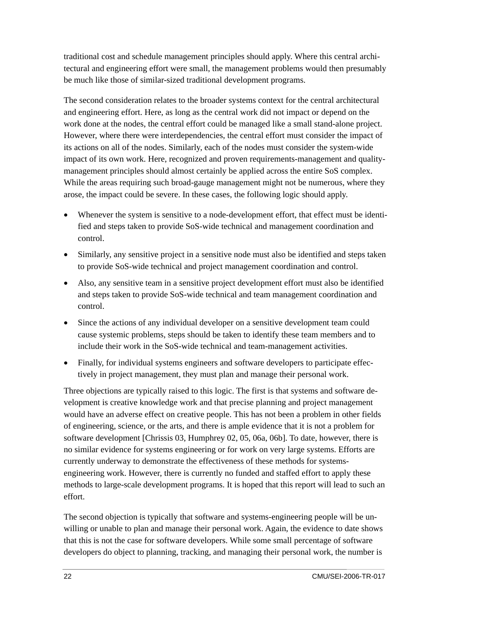traditional cost and schedule management principles should apply. Where this central architectural and engineering effort were small, the management problems would then presumably be much like those of similar-sized traditional development programs.

The second consideration relates to the broader systems context for the central architectural and engineering effort. Here, as long as the central work did not impact or depend on the work done at the nodes, the central effort could be managed like a small stand-alone project. However, where there were interdependencies, the central effort must consider the impact of its actions on all of the nodes. Similarly, each of the nodes must consider the system-wide impact of its own work. Here, recognized and proven requirements-management and qualitymanagement principles should almost certainly be applied across the entire SoS complex. While the areas requiring such broad-gauge management might not be numerous, where they arose, the impact could be severe. In these cases, the following logic should apply.

- Whenever the system is sensitive to a node-development effort, that effect must be identified and steps taken to provide SoS-wide technical and management coordination and control.
- Similarly, any sensitive project in a sensitive node must also be identified and steps taken to provide SoS-wide technical and project management coordination and control.
- Also, any sensitive team in a sensitive project development effort must also be identified and steps taken to provide SoS-wide technical and team management coordination and control.
- Since the actions of any individual developer on a sensitive development team could cause systemic problems, steps should be taken to identify these team members and to include their work in the SoS-wide technical and team-management activities.
- Finally, for individual systems engineers and software developers to participate effectively in project management, they must plan and manage their personal work.

Three objections are typically raised to this logic. The first is that systems and software development is creative knowledge work and that precise planning and project management would have an adverse effect on creative people. This has not been a problem in other fields of engineering, science, or the arts, and there is ample evidence that it is not a problem for software development [Chrissis 03, Humphrey 02, 05, 06a, 06b]. To date, however, there is no similar evidence for systems engineering or for work on very large systems. Efforts are currently underway to demonstrate the effectiveness of these methods for systemsengineering work. However, there is currently no funded and staffed effort to apply these methods to large-scale development programs. It is hoped that this report will lead to such an effort.

The second objection is typically that software and systems-engineering people will be unwilling or unable to plan and manage their personal work. Again, the evidence to date shows that this is not the case for software developers. While some small percentage of software developers do object to planning, tracking, and managing their personal work, the number is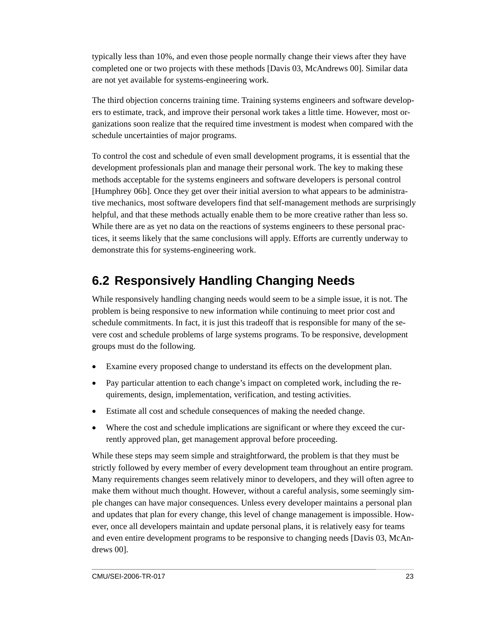<span id="page-40-0"></span>typically less than 10%, and even those people normally change their views after they have completed one or two projects with these methods [Davis 03, McAndrews 00]. Similar data are not yet available for systems-engineering work.

The third objection concerns training time. Training systems engineers and software developers to estimate, track, and improve their personal work takes a little time. However, most organizations soon realize that the required time investment is modest when compared with the schedule uncertainties of major programs.

To control the cost and schedule of even small development programs, it is essential that the development professionals plan and manage their personal work. The key to making these methods acceptable for the systems engineers and software developers is personal control [Humphrey 06b]. Once they get over their initial aversion to what appears to be administrative mechanics, most software developers find that self-management methods are surprisingly helpful, and that these methods actually enable them to be more creative rather than less so. While there are as yet no data on the reactions of systems engineers to these personal practices, it seems likely that the same conclusions will apply. Efforts are currently underway to demonstrate this for systems-engineering work.

## **6.2 Responsively Handling Changing Needs**

While responsively handling changing needs would seem to be a simple issue, it is not. The problem is being responsive to new information while continuing to meet prior cost and schedule commitments. In fact, it is just this tradeoff that is responsible for many of the severe cost and schedule problems of large systems programs. To be responsive, development groups must do the following.

- Examine every proposed change to understand its effects on the development plan.
- Pay particular attention to each change's impact on completed work, including the requirements, design, implementation, verification, and testing activities.
- Estimate all cost and schedule consequences of making the needed change.
- Where the cost and schedule implications are significant or where they exceed the currently approved plan, get management approval before proceeding.

While these steps may seem simple and straightforward, the problem is that they must be strictly followed by every member of every development team throughout an entire program. Many requirements changes seem relatively minor to developers, and they will often agree to make them without much thought. However, without a careful analysis, some seemingly simple changes can have major consequences. Unless every developer maintains a personal plan and updates that plan for every change, this level of change management is impossible. However, once all developers maintain and update personal plans, it is relatively easy for teams and even entire development programs to be responsive to changing needs [Davis 03, McAndrews 00].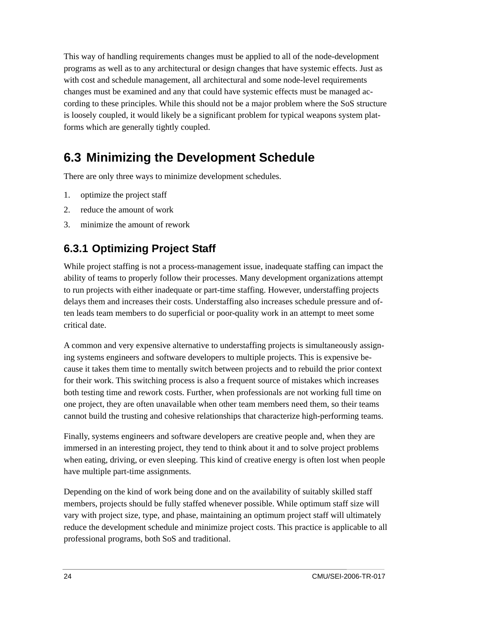<span id="page-41-0"></span>This way of handling requirements changes must be applied to all of the node-development programs as well as to any architectural or design changes that have systemic effects. Just as with cost and schedule management, all architectural and some node-level requirements changes must be examined and any that could have systemic effects must be managed according to these principles. While this should not be a major problem where the SoS structure is loosely coupled, it would likely be a significant problem for typical weapons system platforms which are generally tightly coupled.

### **6.3 Minimizing the Development Schedule**

There are only three ways to minimize development schedules.

- 1. optimize the project staff
- 2. reduce the amount of work
- 3. minimize the amount of rework

#### **6.3.1 Optimizing Project Staff**

While project staffing is not a process-management issue, inadequate staffing can impact the ability of teams to properly follow their processes. Many development organizations attempt to run projects with either inadequate or part-time staffing. However, understaffing projects delays them and increases their costs. Understaffing also increases schedule pressure and often leads team members to do superficial or poor-quality work in an attempt to meet some critical date.

A common and very expensive alternative to understaffing projects is simultaneously assigning systems engineers and software developers to multiple projects. This is expensive because it takes them time to mentally switch between projects and to rebuild the prior context for their work. This switching process is also a frequent source of mistakes which increases both testing time and rework costs. Further, when professionals are not working full time on one project, they are often unavailable when other team members need them, so their teams cannot build the trusting and cohesive relationships that characterize high-performing teams.

Finally, systems engineers and software developers are creative people and, when they are immersed in an interesting project, they tend to think about it and to solve project problems when eating, driving, or even sleeping. This kind of creative energy is often lost when people have multiple part-time assignments.

Depending on the kind of work being done and on the availability of suitably skilled staff members, projects should be fully staffed whenever possible. While optimum staff size will vary with project size, type, and phase, maintaining an optimum project staff will ultimately reduce the development schedule and minimize project costs. This practice is applicable to all professional programs, both SoS and traditional.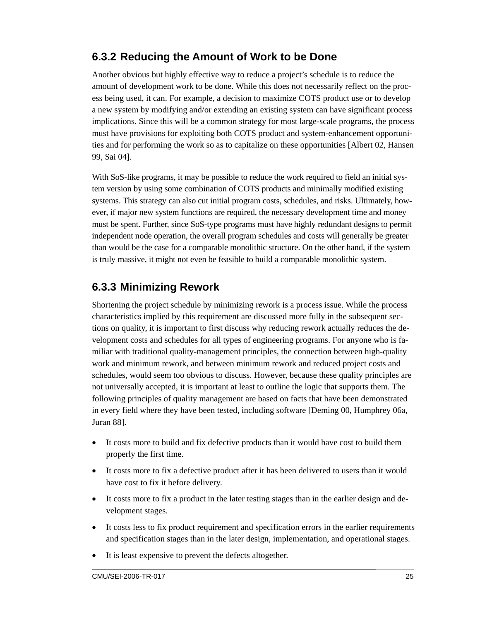#### <span id="page-42-0"></span>**6.3.2 Reducing the Amount of Work to be Done**

Another obvious but highly effective way to reduce a project's schedule is to reduce the amount of development work to be done. While this does not necessarily reflect on the process being used, it can. For example, a decision to maximize COTS product use or to develop a new system by modifying and/or extending an existing system can have significant process implications. Since this will be a common strategy for most large-scale programs, the process must have provisions for exploiting both COTS product and system-enhancement opportunities and for performing the work so as to capitalize on these opportunities [Albert 02, Hansen 99, Sai 04].

With SoS-like programs, it may be possible to reduce the work required to field an initial system version by using some combination of COTS products and minimally modified existing systems. This strategy can also cut initial program costs, schedules, and risks. Ultimately, however, if major new system functions are required, the necessary development time and money must be spent. Further, since SoS-type programs must have highly redundant designs to permit independent node operation, the overall program schedules and costs will generally be greater than would be the case for a comparable monolithic structure. On the other hand, if the system is truly massive, it might not even be feasible to build a comparable monolithic system.

#### **6.3.3 Minimizing Rework**

Shortening the project schedule by minimizing rework is a process issue. While the process characteristics implied by this requirement are discussed more fully in the subsequent sections on quality, it is important to first discuss why reducing rework actually reduces the development costs and schedules for all types of engineering programs. For anyone who is familiar with traditional quality-management principles, the connection between high-quality work and minimum rework, and between minimum rework and reduced project costs and schedules, would seem too obvious to discuss. However, because these quality principles are not universally accepted, it is important at least to outline the logic that supports them. The following principles of quality management are based on facts that have been demonstrated in every field where they have been tested, including software [Deming 00, Humphrey 06a, Juran 88].

- It costs more to build and fix defective products than it would have cost to build them properly the first time.
- It costs more to fix a defective product after it has been delivered to users than it would have cost to fix it before delivery.
- It costs more to fix a product in the later testing stages than in the earlier design and development stages.
- It costs less to fix product requirement and specification errors in the earlier requirements and specification stages than in the later design, implementation, and operational stages.
- It is least expensive to prevent the defects altogether.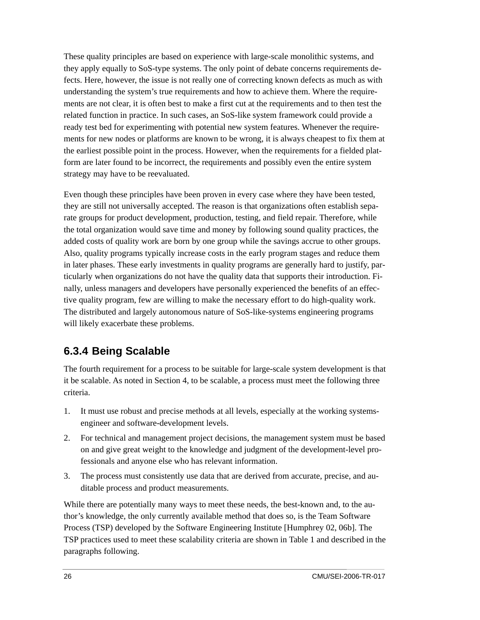<span id="page-43-0"></span>These quality principles are based on experience with large-scale monolithic systems, and they apply equally to SoS-type systems. The only point of debate concerns requirements defects. Here, however, the issue is not really one of correcting known defects as much as with understanding the system's true requirements and how to achieve them. Where the requirements are not clear, it is often best to make a first cut at the requirements and to then test the related function in practice. In such cases, an SoS-like system framework could provide a ready test bed for experimenting with potential new system features. Whenever the requirements for new nodes or platforms are known to be wrong, it is always cheapest to fix them at the earliest possible point in the process. However, when the requirements for a fielded platform are later found to be incorrect, the requirements and possibly even the entire system strategy may have to be reevaluated.

Even though these principles have been proven in every case where they have been tested, they are still not universally accepted. The reason is that organizations often establish separate groups for product development, production, testing, and field repair. Therefore, while the total organization would save time and money by following sound quality practices, the added costs of quality work are born by one group while the savings accrue to other groups. Also, quality programs typically increase costs in the early program stages and reduce them in later phases. These early investments in quality programs are generally hard to justify, particularly when organizations do not have the quality data that supports their introduction. Finally, unless managers and developers have personally experienced the benefits of an effective quality program, few are willing to make the necessary effort to do high-quality work. The distributed and largely autonomous nature of SoS-like-systems engineering programs will likely exacerbate these problems.

#### **6.3.4 Being Scalable**

The fourth requirement for a process to be suitable for large-scale system development is that it be scalable. As noted in Section 4, to be scalable, a process must meet the following three criteria.

- 1. It must use robust and precise methods at all levels, especially at the working systemsengineer and software-development levels.
- 2. For technical and management project decisions, the management system must be based on and give great weight to the knowledge and judgment of the development-level professionals and anyone else who has relevant information.
- 3. The process must consistently use data that are derived from accurate, precise, and auditable process and product measurements.

While there are potentially many ways to meet these needs, the best-known and, to the author's knowledge, the only currently available method that does so, is the Team Software Process (TSP) developed by the Software Engineering Institute [Humphrey 02, 06b]. The TSP practices used to meet these scalability criteria are shown in Table 1 and described in the paragraphs following.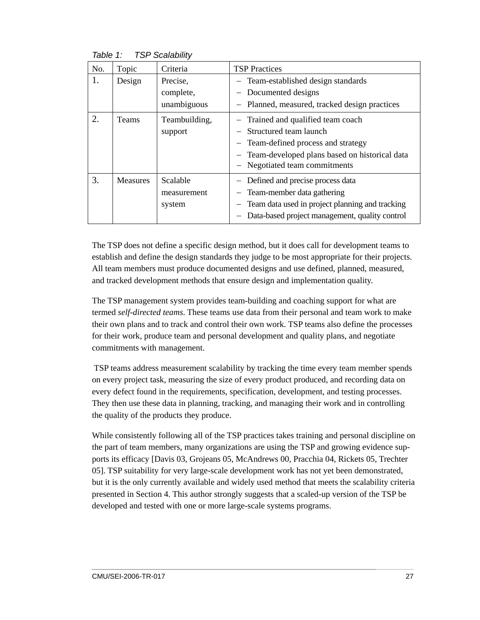<span id="page-44-0"></span>

| Table 1: | <b>TSP Scalability</b> |
|----------|------------------------|
|----------|------------------------|

| No. | Topic           | Criteria                             | <b>TSP</b> Practices                                                                                                                                                              |  |
|-----|-----------------|--------------------------------------|-----------------------------------------------------------------------------------------------------------------------------------------------------------------------------------|--|
| 1.  | Design          | Precise,<br>complete,<br>unambiguous | - Team-established design standards<br>Documented designs<br>Planned, measured, tracked design practices                                                                          |  |
| 2.  | <b>Teams</b>    | Teambuilding,<br>support             | - Trained and qualified team coach<br>Structured team launch<br>Team-defined process and strategy<br>Team-developed plans based on historical data<br>Negotiated team commitments |  |
| 3.  | <b>Measures</b> | Scalable<br>measurement<br>system    | Defined and precise process data<br>Team-member data gathering<br>Team data used in project planning and tracking<br>Data-based project management, quality control               |  |

The TSP does not define a specific design method, but it does call for development teams to establish and define the design standards they judge to be most appropriate for their projects. All team members must produce documented designs and use defined, planned, measured, and tracked development methods that ensure design and implementation quality.

The TSP management system provides team-building and coaching support for what are termed *self-directed teams*. These teams use data from their personal and team work to make their own plans and to track and control their own work. TSP teams also define the processes for their work, produce team and personal development and quality plans, and negotiate commitments with management.

 TSP teams address measurement scalability by tracking the time every team member spends on every project task, measuring the size of every product produced, and recording data on every defect found in the requirements, specification, development, and testing processes. They then use these data in planning, tracking, and managing their work and in controlling the quality of the products they produce.

While consistently following all of the TSP practices takes training and personal discipline on the part of team members, many organizations are using the TSP and growing evidence supports its efficacy [Davis 03, Grojeans 05, McAndrews 00, Pracchia 04, Rickets 05, Trechter 05]. TSP suitability for very large-scale development work has not yet been demonstrated, but it is the only currently available and widely used method that meets the scalability criteria presented in Section 4. This author strongly suggests that a scaled-up version of the TSP be developed and tested with one or more large-scale systems programs.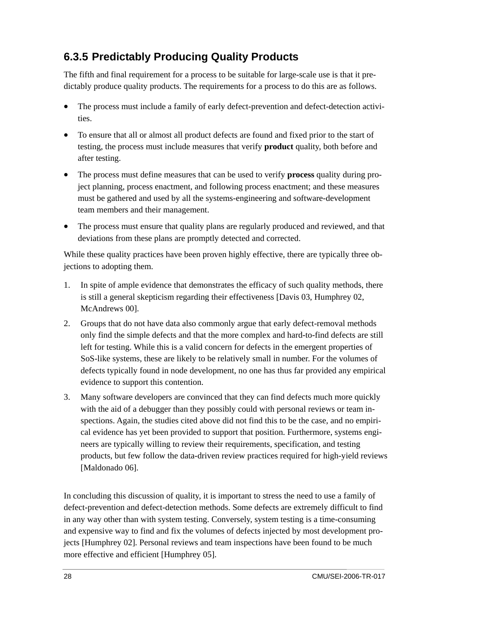#### <span id="page-45-0"></span>**6.3.5 Predictably Producing Quality Products**

The fifth and final requirement for a process to be suitable for large-scale use is that it predictably produce quality products. The requirements for a process to do this are as follows.

- The process must include a family of early defect-prevention and defect-detection activities.
- To ensure that all or almost all product defects are found and fixed prior to the start of testing, the process must include measures that verify **product** quality, both before and after testing.
- The process must define measures that can be used to verify **process** quality during project planning, process enactment, and following process enactment; and these measures must be gathered and used by all the systems-engineering and software-development team members and their management.
- The process must ensure that quality plans are regularly produced and reviewed, and that deviations from these plans are promptly detected and corrected.

While these quality practices have been proven highly effective, there are typically three objections to adopting them.

- 1. In spite of ample evidence that demonstrates the efficacy of such quality methods, there is still a general skepticism regarding their effectiveness [Davis 03, Humphrey 02, McAndrews 00].
- 2. Groups that do not have data also commonly argue that early defect-removal methods only find the simple defects and that the more complex and hard-to-find defects are still left for testing. While this is a valid concern for defects in the emergent properties of SoS-like systems, these are likely to be relatively small in number. For the volumes of defects typically found in node development, no one has thus far provided any empirical evidence to support this contention.
- 3. Many software developers are convinced that they can find defects much more quickly with the aid of a debugger than they possibly could with personal reviews or team inspections. Again, the studies cited above did not find this to be the case, and no empirical evidence has yet been provided to support that position. Furthermore, systems engineers are typically willing to review their requirements, specification, and testing products, but few follow the data-driven review practices required for high-yield reviews [Maldonado 06].

In concluding this discussion of quality, it is important to stress the need to use a family of defect-prevention and defect-detection methods. Some defects are extremely difficult to find in any way other than with system testing. Conversely, system testing is a time-consuming and expensive way to find and fix the volumes of defects injected by most development projects [Humphrey 02]. Personal reviews and team inspections have been found to be much more effective and efficient [Humphrey 05].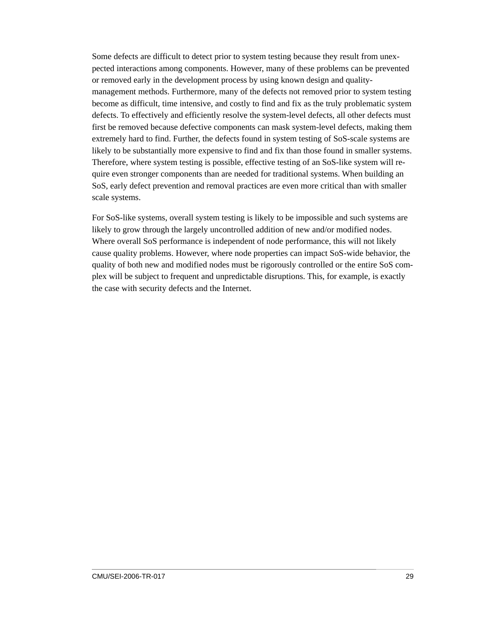Some defects are difficult to detect prior to system testing because they result from unexpected interactions among components. However, many of these problems can be prevented or removed early in the development process by using known design and qualitymanagement methods. Furthermore, many of the defects not removed prior to system testing become as difficult, time intensive, and costly to find and fix as the truly problematic system defects. To effectively and efficiently resolve the system-level defects, all other defects must first be removed because defective components can mask system-level defects, making them extremely hard to find. Further, the defects found in system testing of SoS-scale systems are likely to be substantially more expensive to find and fix than those found in smaller systems. Therefore, where system testing is possible, effective testing of an SoS-like system will require even stronger components than are needed for traditional systems. When building an SoS, early defect prevention and removal practices are even more critical than with smaller scale systems.

For SoS-like systems, overall system testing is likely to be impossible and such systems are likely to grow through the largely uncontrolled addition of new and/or modified nodes. Where overall SoS performance is independent of node performance, this will not likely cause quality problems. However, where node properties can impact SoS-wide behavior, the quality of both new and modified nodes must be rigorously controlled or the entire SoS complex will be subject to frequent and unpredictable disruptions. This, for example, is exactly the case with security defects and the Internet.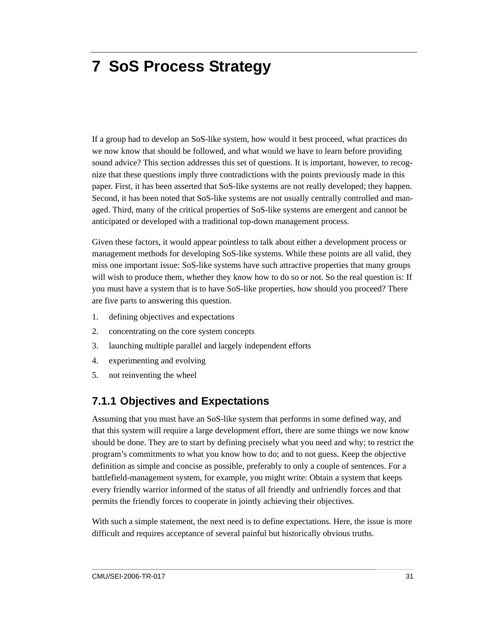# <span id="page-48-0"></span>**7 SoS Process Strategy**

If a group had to develop an SoS-like system, how would it best proceed, what practices do we now know that should be followed, and what would we have to learn before providing sound advice? This section addresses this set of questions. It is important, however, to recognize that these questions imply three contradictions with the points previously made in this paper. First, it has been asserted that SoS-like systems are not really developed; they happen. Second, it has been noted that SoS-like systems are not usually centrally controlled and managed. Third, many of the critical properties of SoS-like systems are emergent and cannot be anticipated or developed with a traditional top-down management process.

Given these factors, it would appear pointless to talk about either a development process or management methods for developing SoS-like systems. While these points are all valid, they miss one important issue: SoS-like systems have such attractive properties that many groups will wish to produce them, whether they know how to do so or not. So the real question is: If you must have a system that is to have SoS-like properties, how should you proceed? There are five parts to answering this question.

- 1. defining objectives and expectations
- 2. concentrating on the core system concepts
- 3. launching multiple parallel and largely independent efforts
- 4. experimenting and evolving
- 5. not reinventing the wheel

#### **7.1.1 Objectives and Expectations**

Assuming that you must have an SoS-like system that performs in some defined way, and that this system will require a large development effort, there are some things we now know should be done. They are to start by defining precisely what you need and why; to restrict the program's commitments to what you know how to do; and to not guess. Keep the objective definition as simple and concise as possible, preferably to only a couple of sentences. For a battlefield-management system, for example, you might write: Obtain a system that keeps every friendly warrior informed of the status of all friendly and unfriendly forces and that permits the friendly forces to cooperate in jointly achieving their objectives.

With such a simple statement, the next need is to define expectations. Here, the issue is more difficult and requires acceptance of several painful but historically obvious truths.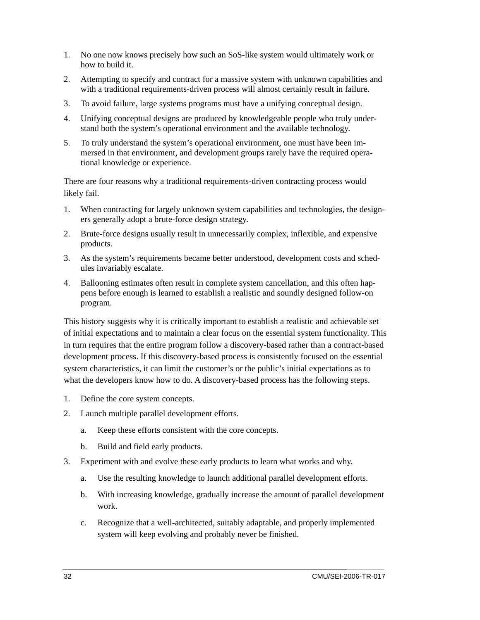- 1. No one now knows precisely how such an SoS-like system would ultimately work or how to build it.
- 2. Attempting to specify and contract for a massive system with unknown capabilities and with a traditional requirements-driven process will almost certainly result in failure.
- 3. To avoid failure, large systems programs must have a unifying conceptual design.
- 4. Unifying conceptual designs are produced by knowledgeable people who truly understand both the system's operational environment and the available technology.
- 5. To truly understand the system's operational environment, one must have been immersed in that environment, and development groups rarely have the required operational knowledge or experience.

There are four reasons why a traditional requirements-driven contracting process would likely fail.

- 1. When contracting for largely unknown system capabilities and technologies, the designers generally adopt a brute-force design strategy.
- 2. Brute-force designs usually result in unnecessarily complex, inflexible, and expensive products.
- 3. As the system's requirements became better understood, development costs and schedules invariably escalate.
- 4. Ballooning estimates often result in complete system cancellation, and this often happens before enough is learned to establish a realistic and soundly designed follow-on program.

This history suggests why it is critically important to establish a realistic and achievable set of initial expectations and to maintain a clear focus on the essential system functionality. This in turn requires that the entire program follow a discovery-based rather than a contract-based development process. If this discovery-based process is consistently focused on the essential system characteristics, it can limit the customer's or the public's initial expectations as to what the developers know how to do. A discovery-based process has the following steps.

- 1. Define the core system concepts.
- 2. Launch multiple parallel development efforts.
	- a. Keep these efforts consistent with the core concepts.
	- b. Build and field early products.
- 3. Experiment with and evolve these early products to learn what works and why.
	- a. Use the resulting knowledge to launch additional parallel development efforts.
	- b. With increasing knowledge, gradually increase the amount of parallel development work.
	- c. Recognize that a well-architected, suitably adaptable, and properly implemented system will keep evolving and probably never be finished.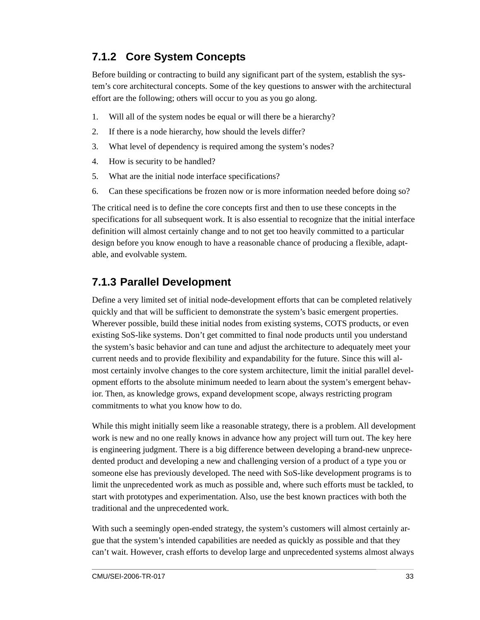#### <span id="page-50-0"></span>**7.1.2 Core System Concepts**

Before building or contracting to build any significant part of the system, establish the system's core architectural concepts. Some of the key questions to answer with the architectural effort are the following; others will occur to you as you go along.

- 1. Will all of the system nodes be equal or will there be a hierarchy?
- 2. If there is a node hierarchy, how should the levels differ?
- 3. What level of dependency is required among the system's nodes?
- 4. How is security to be handled?
- 5. What are the initial node interface specifications?
- 6. Can these specifications be frozen now or is more information needed before doing so?

The critical need is to define the core concepts first and then to use these concepts in the specifications for all subsequent work. It is also essential to recognize that the initial interface definition will almost certainly change and to not get too heavily committed to a particular design before you know enough to have a reasonable chance of producing a flexible, adaptable, and evolvable system.

#### **7.1.3 Parallel Development**

Define a very limited set of initial node-development efforts that can be completed relatively quickly and that will be sufficient to demonstrate the system's basic emergent properties. Wherever possible, build these initial nodes from existing systems, COTS products, or even existing SoS-like systems. Don't get committed to final node products until you understand the system's basic behavior and can tune and adjust the architecture to adequately meet your current needs and to provide flexibility and expandability for the future. Since this will almost certainly involve changes to the core system architecture, limit the initial parallel development efforts to the absolute minimum needed to learn about the system's emergent behavior. Then, as knowledge grows, expand development scope, always restricting program commitments to what you know how to do.

While this might initially seem like a reasonable strategy, there is a problem. All development work is new and no one really knows in advance how any project will turn out. The key here is engineering judgment. There is a big difference between developing a brand-new unprecedented product and developing a new and challenging version of a product of a type you or someone else has previously developed. The need with SoS-like development programs is to limit the unprecedented work as much as possible and, where such efforts must be tackled, to start with prototypes and experimentation. Also, use the best known practices with both the traditional and the unprecedented work.

With such a seemingly open-ended strategy, the system's customers will almost certainly argue that the system's intended capabilities are needed as quickly as possible and that they can't wait. However, crash efforts to develop large and unprecedented systems almost always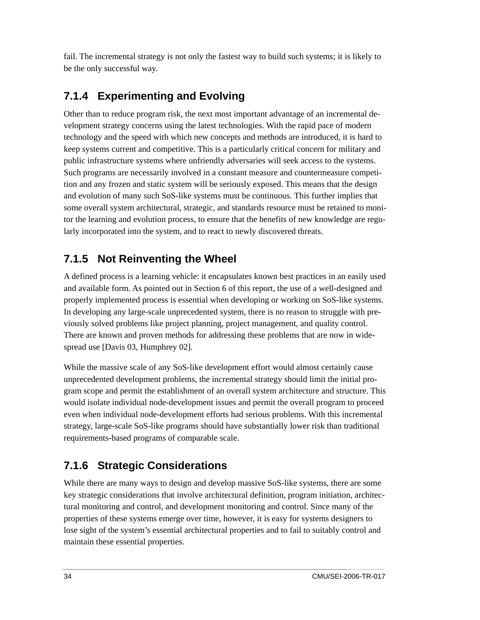<span id="page-51-0"></span>fail. The incremental strategy is not only the fastest way to build such systems; it is likely to be the only successful way.

### **7.1.4 Experimenting and Evolving**

Other than to reduce program risk, the next most important advantage of an incremental development strategy concerns using the latest technologies. With the rapid pace of modern technology and the speed with which new concepts and methods are introduced, it is hard to keep systems current and competitive. This is a particularly critical concern for military and public infrastructure systems where unfriendly adversaries will seek access to the systems. Such programs are necessarily involved in a constant measure and countermeasure competition and any frozen and static system will be seriously exposed. This means that the design and evolution of many such SoS-like systems must be continuous. This further implies that some overall system architectural, strategic, and standards resource must be retained to monitor the learning and evolution process, to ensure that the benefits of new knowledge are regularly incorporated into the system, and to react to newly discovered threats.

### **7.1.5 Not Reinventing the Wheel**

A defined process is a learning vehicle: it encapsulates known best practices in an easily used and available form. As pointed out in Section 6 of this report, the use of a well-designed and properly implemented process is essential when developing or working on SoS-like systems. In developing any large-scale unprecedented system, there is no reason to struggle with previously solved problems like project planning, project management, and quality control. There are known and proven methods for addressing these problems that are now in widespread use [Davis 03, Humphrey 02].

While the massive scale of any SoS-like development effort would almost certainly cause unprecedented development problems, the incremental strategy should limit the initial program scope and permit the establishment of an overall system architecture and structure. This would isolate individual node-development issues and permit the overall program to proceed even when individual node-development efforts had serious problems. With this incremental strategy, large-scale SoS-like programs should have substantially lower risk than traditional requirements-based programs of comparable scale.

### **7.1.6 Strategic Considerations**

While there are many ways to design and develop massive SoS-like systems, there are some key strategic considerations that involve architectural definition, program initiation, architectural monitoring and control, and development monitoring and control. Since many of the properties of these systems emerge over time, however, it is easy for systems designers to lose sight of the system's essential architectural properties and to fail to suitably control and maintain these essential properties.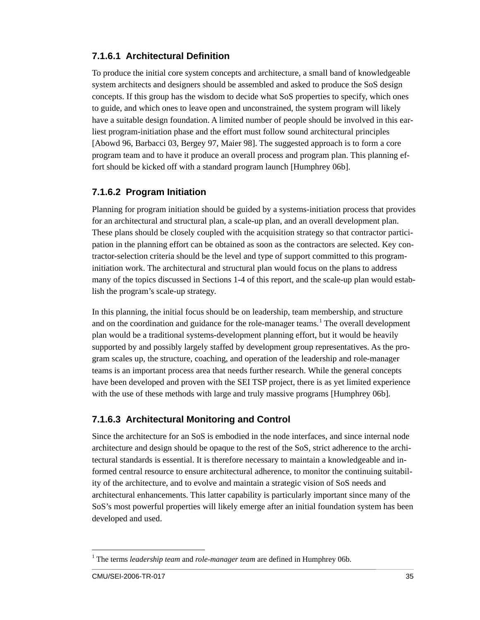#### **7.1.6.1 Architectural Definition**

To produce the initial core system concepts and architecture, a small band of knowledgeable system architects and designers should be assembled and asked to produce the SoS design concepts. If this group has the wisdom to decide what SoS properties to specify, which ones to guide, and which ones to leave open and unconstrained, the system program will likely have a suitable design foundation. A limited number of people should be involved in this earliest program-initiation phase and the effort must follow sound architectural principles [Abowd 96, Barbacci 03, Bergey 97, Maier 98]. The suggested approach is to form a core program team and to have it produce an overall process and program plan. This planning effort should be kicked off with a standard program launch [Humphrey 06b].

#### **7.1.6.2 Program Initiation**

Planning for program initiation should be guided by a systems-initiation process that provides for an architectural and structural plan, a scale-up plan, and an overall development plan. These plans should be closely coupled with the acquisition strategy so that contractor participation in the planning effort can be obtained as soon as the contractors are selected. Key contractor-selection criteria should be the level and type of support committed to this programinitiation work. The architectural and structural plan would focus on the plans to address many of the topics discussed in Sections 1-4 of this report, and the scale-up plan would establish the program's scale-up strategy.

In this planning, the initial focus should be on leadership, team membership, and structure and on the coordination and guidance for the role-manager teams.<sup>[1](#page-52-0)</sup> The overall development plan would be a traditional systems-development planning effort, but it would be heavily supported by and possibly largely staffed by development group representatives. As the program scales up, the structure, coaching, and operation of the leadership and role-manager teams is an important process area that needs further research. While the general concepts have been developed and proven with the SEI TSP project, there is as yet limited experience with the use of these methods with large and truly massive programs [Humphrey 06b].

#### **7.1.6.3 Architectural Monitoring and Control**

Since the architecture for an SoS is embodied in the node interfaces, and since internal node architecture and design should be opaque to the rest of the SoS, strict adherence to the architectural standards is essential. It is therefore necessary to maintain a knowledgeable and informed central resource to ensure architectural adherence, to monitor the continuing suitability of the architecture, and to evolve and maintain a strategic vision of SoS needs and architectural enhancements. This latter capability is particularly important since many of the SoS's most powerful properties will likely emerge after an initial foundation system has been developed and used.

<u>.</u>

<span id="page-52-0"></span><sup>&</sup>lt;sup>1</sup> The terms *leadership team* and *role-manager team* are defined in Humphrey 06b.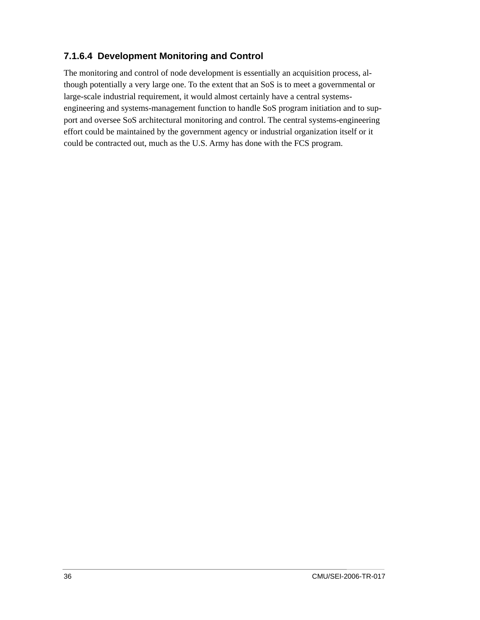#### **7.1.6.4 Development Monitoring and Control**

The monitoring and control of node development is essentially an acquisition process, although potentially a very large one. To the extent that an SoS is to meet a governmental or large-scale industrial requirement, it would almost certainly have a central systemsengineering and systems-management function to handle SoS program initiation and to support and oversee SoS architectural monitoring and control. The central systems-engineering effort could be maintained by the government agency or industrial organization itself or it could be contracted out, much as the U.S. Army has done with the FCS program.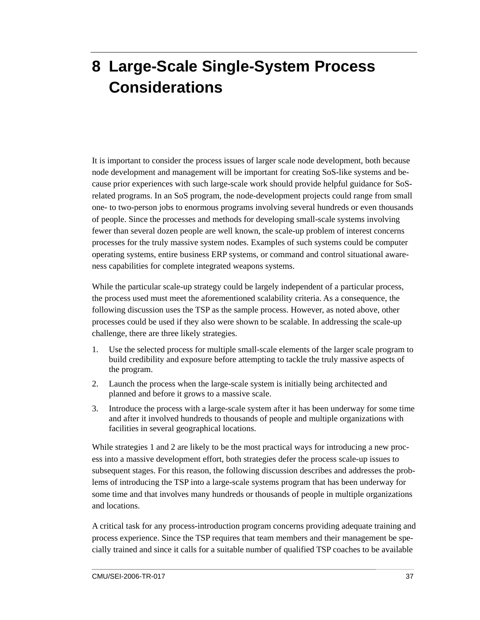# <span id="page-54-0"></span>**8 Large-Scale Single-System Process Considerations**

It is important to consider the process issues of larger scale node development, both because node development and management will be important for creating SoS-like systems and because prior experiences with such large-scale work should provide helpful guidance for SoSrelated programs. In an SoS program, the node-development projects could range from small one- to two-person jobs to enormous programs involving several hundreds or even thousands of people. Since the processes and methods for developing small-scale systems involving fewer than several dozen people are well known, the scale-up problem of interest concerns processes for the truly massive system nodes. Examples of such systems could be computer operating systems, entire business ERP systems, or command and control situational awareness capabilities for complete integrated weapons systems.

While the particular scale-up strategy could be largely independent of a particular process, the process used must meet the aforementioned scalability criteria. As a consequence, the following discussion uses the TSP as the sample process. However, as noted above, other processes could be used if they also were shown to be scalable. In addressing the scale-up challenge, there are three likely strategies.

- 1. Use the selected process for multiple small-scale elements of the larger scale program to build credibility and exposure before attempting to tackle the truly massive aspects of the program.
- 2. Launch the process when the large-scale system is initially being architected and planned and before it grows to a massive scale.
- 3. Introduce the process with a large-scale system after it has been underway for some time and after it involved hundreds to thousands of people and multiple organizations with facilities in several geographical locations.

While strategies 1 and 2 are likely to be the most practical ways for introducing a new process into a massive development effort, both strategies defer the process scale-up issues to subsequent stages. For this reason, the following discussion describes and addresses the problems of introducing the TSP into a large-scale systems program that has been underway for some time and that involves many hundreds or thousands of people in multiple organizations and locations.

A critical task for any process-introduction program concerns providing adequate training and process experience. Since the TSP requires that team members and their management be specially trained and since it calls for a suitable number of qualified TSP coaches to be available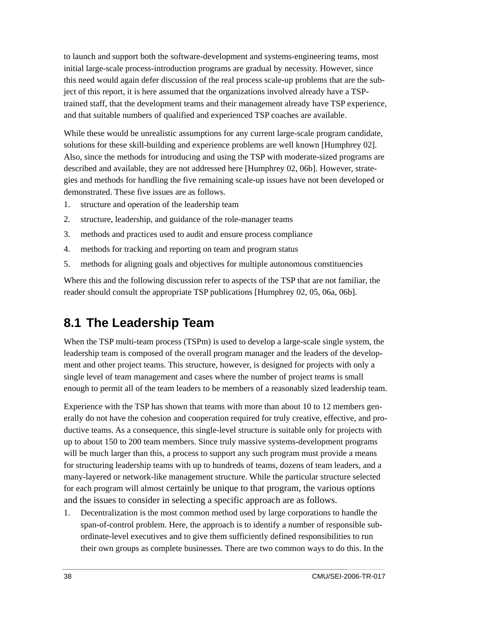<span id="page-55-0"></span>to launch and support both the software-development and systems-engineering teams, most initial large-scale process-introduction programs are gradual by necessity. However, since this need would again defer discussion of the real process scale-up problems that are the subject of this report, it is here assumed that the organizations involved already have a TSPtrained staff, that the development teams and their management already have TSP experience, and that suitable numbers of qualified and experienced TSP coaches are available.

While these would be unrealistic assumptions for any current large-scale program candidate, solutions for these skill-building and experience problems are well known [Humphrey 02]. Also, since the methods for introducing and using the TSP with moderate-sized programs are described and available, they are not addressed here [Humphrey 02, 06b]. However, strategies and methods for handling the five remaining scale-up issues have not been developed or demonstrated. These five issues are as follows.

- 1. structure and operation of the leadership team
- 2. structure, leadership, and guidance of the role-manager teams
- 3. methods and practices used to audit and ensure process compliance
- 4. methods for tracking and reporting on team and program status
- 5. methods for aligning goals and objectives for multiple autonomous constituencies

Where this and the following discussion refer to aspects of the TSP that are not familiar, the reader should consult the appropriate TSP publications [Humphrey 02, 05, 06a, 06b].

### **8.1 The Leadership Team**

When the TSP multi-team process (TSPm) is used to develop a large-scale single system, the leadership team is composed of the overall program manager and the leaders of the development and other project teams. This structure, however, is designed for projects with only a single level of team management and cases where the number of project teams is small enough to permit all of the team leaders to be members of a reasonably sized leadership team.

Experience with the TSP has shown that teams with more than about 10 to 12 members generally do not have the cohesion and cooperation required for truly creative, effective, and productive teams. As a consequence, this single-level structure is suitable only for projects with up to about 150 to 200 team members. Since truly massive systems-development programs will be much larger than this, a process to support any such program must provide a means for structuring leadership teams with up to hundreds of teams, dozens of team leaders, and a many-layered or network-like management structure. While the particular structure selected for each program will almost certainly be unique to that program, the various options and the issues to consider in selecting a specific approach are as follows.

1. Decentralization is the most common method used by large corporations to handle the span-of-control problem. Here, the approach is to identify a number of responsible subordinate-level executives and to give them sufficiently defined responsibilities to run their own groups as complete businesses. There are two common ways to do this. In the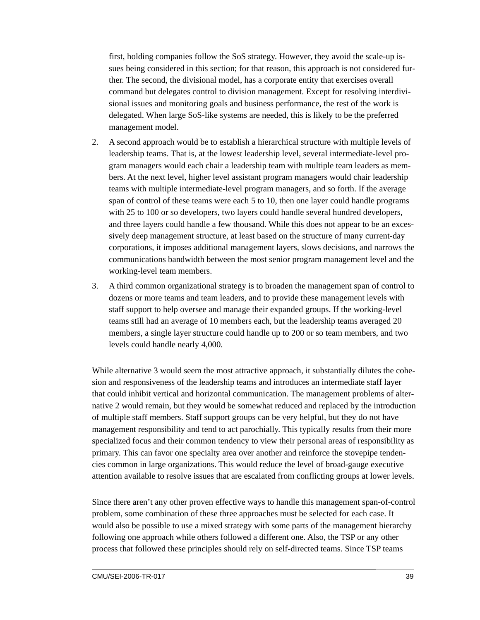first, holding companies follow the SoS strategy. However, they avoid the scale-up issues being considered in this section; for that reason, this approach is not considered further. The second, the divisional model, has a corporate entity that exercises overall command but delegates control to division management. Except for resolving interdivisional issues and monitoring goals and business performance, the rest of the work is delegated. When large SoS-like systems are needed, this is likely to be the preferred management model.

- 2. A second approach would be to establish a hierarchical structure with multiple levels of leadership teams. That is, at the lowest leadership level, several intermediate-level program managers would each chair a leadership team with multiple team leaders as members. At the next level, higher level assistant program managers would chair leadership teams with multiple intermediate-level program managers, and so forth. If the average span of control of these teams were each 5 to 10, then one layer could handle programs with 25 to 100 or so developers, two layers could handle several hundred developers, and three layers could handle a few thousand. While this does not appear to be an excessively deep management structure, at least based on the structure of many current-day corporations, it imposes additional management layers, slows decisions, and narrows the communications bandwidth between the most senior program management level and the working-level team members.
- 3. A third common organizational strategy is to broaden the management span of control to dozens or more teams and team leaders, and to provide these management levels with staff support to help oversee and manage their expanded groups. If the working-level teams still had an average of 10 members each, but the leadership teams averaged 20 members, a single layer structure could handle up to 200 or so team members, and two levels could handle nearly 4,000.

While alternative 3 would seem the most attractive approach, it substantially dilutes the cohesion and responsiveness of the leadership teams and introduces an intermediate staff layer that could inhibit vertical and horizontal communication. The management problems of alternative 2 would remain, but they would be somewhat reduced and replaced by the introduction of multiple staff members. Staff support groups can be very helpful, but they do not have management responsibility and tend to act parochially. This typically results from their more specialized focus and their common tendency to view their personal areas of responsibility as primary. This can favor one specialty area over another and reinforce the stovepipe tendencies common in large organizations. This would reduce the level of broad-gauge executive attention available to resolve issues that are escalated from conflicting groups at lower levels.

Since there aren't any other proven effective ways to handle this management span-of-control problem, some combination of these three approaches must be selected for each case. It would also be possible to use a mixed strategy with some parts of the management hierarchy following one approach while others followed a different one. Also, the TSP or any other process that followed these principles should rely on self-directed teams. Since TSP teams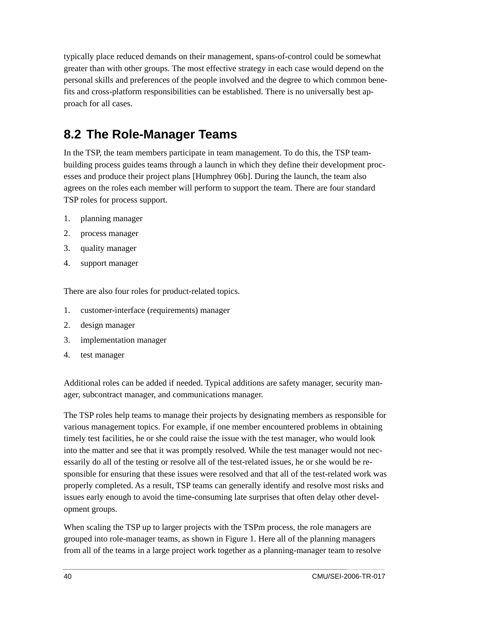<span id="page-57-0"></span>typically place reduced demands on their management, spans-of-control could be somewhat greater than with other groups. The most effective strategy in each case would depend on the personal skills and preferences of the people involved and the degree to which common benefits and cross-platform responsibilities can be established. There is no universally best approach for all cases.

### **8.2 The Role-Manager Teams**

In the TSP, the team members participate in team management. To do this, the TSP teambuilding process guides teams through a launch in which they define their development processes and produce their project plans [Humphrey 06b]. During the launch, the team also agrees on the roles each member will perform to support the team. There are four standard TSP roles for process support.

- 1. planning manager
- 2. process manager
- 3. quality manager
- 4. support manager

There are also four roles for product-related topics.

- 1. customer-interface (requirements) manager
- 2. design manager
- 3. implementation manager
- 4. test manager

Additional roles can be added if needed. Typical additions are safety manager, security manager, subcontract manager, and communications manager.

The TSP roles help teams to manage their projects by designating members as responsible for various management topics. For example, if one member encountered problems in obtaining timely test facilities, he or she could raise the issue with the test manager, who would look into the matter and see that it was promptly resolved. While the test manager would not necessarily do all of the testing or resolve all of the test-related issues, he or she would be responsible for ensuring that these issues were resolved and that all of the test-related work was properly completed. As a result, TSP teams can generally identify and resolve most risks and issues early enough to avoid the time-consuming late surprises that often delay other development groups.

When scaling the TSP up to larger projects with the TSPm process, the role managers are grouped into role-manager teams, as shown in Figure 1. Here all of the planning managers from all of the teams in a large project work together as a planning-manager team to resolve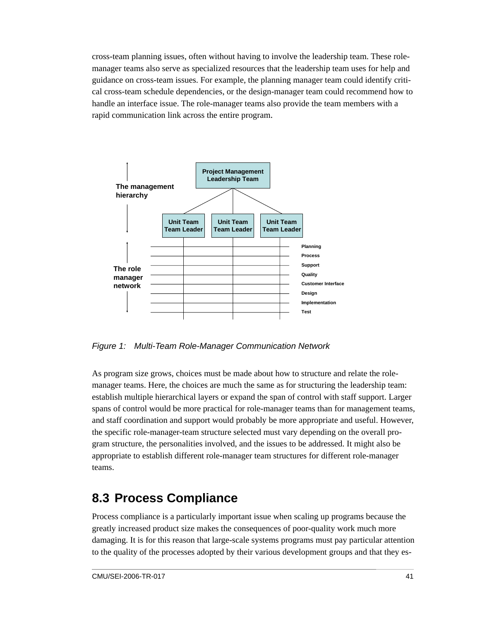<span id="page-58-0"></span>cross-team planning issues, often without having to involve the leadership team. These rolemanager teams also serve as specialized resources that the leadership team uses for help and guidance on cross-team issues. For example, the planning manager team could identify critical cross-team schedule dependencies, or the design-manager team could recommend how to handle an interface issue. The role-manager teams also provide the team members with a rapid communication link across the entire program.



*Figure 1: Multi-Team Role-Manager Communication Network*

As program size grows, choices must be made about how to structure and relate the rolemanager teams. Here, the choices are much the same as for structuring the leadership team: establish multiple hierarchical layers or expand the span of control with staff support. Larger spans of control would be more practical for role-manager teams than for management teams, and staff coordination and support would probably be more appropriate and useful. However, the specific role-manager-team structure selected must vary depending on the overall program structure, the personalities involved, and the issues to be addressed. It might also be appropriate to establish different role-manager team structures for different role-manager teams.

### **8.3 Process Compliance**

Process compliance is a particularly important issue when scaling up programs because the greatly increased product size makes the consequences of poor-quality work much more damaging. It is for this reason that large-scale systems programs must pay particular attention to the quality of the processes adopted by their various development groups and that they es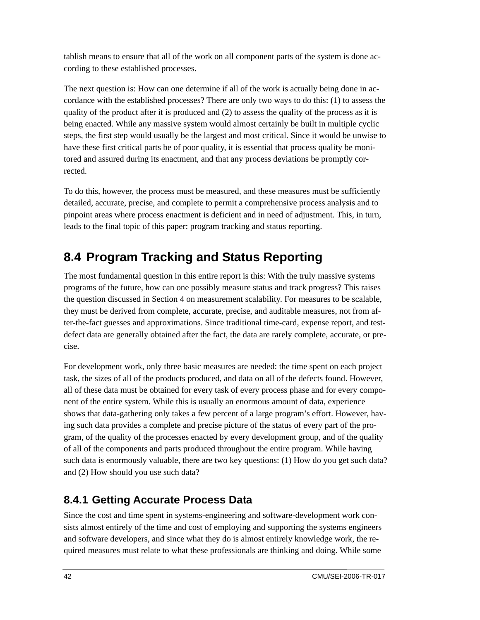<span id="page-59-0"></span>tablish means to ensure that all of the work on all component parts of the system is done according to these established processes.

The next question is: How can one determine if all of the work is actually being done in accordance with the established processes? There are only two ways to do this: (1) to assess the quality of the product after it is produced and (2) to assess the quality of the process as it is being enacted. While any massive system would almost certainly be built in multiple cyclic steps, the first step would usually be the largest and most critical. Since it would be unwise to have these first critical parts be of poor quality, it is essential that process quality be monitored and assured during its enactment, and that any process deviations be promptly corrected.

To do this, however, the process must be measured, and these measures must be sufficiently detailed, accurate, precise, and complete to permit a comprehensive process analysis and to pinpoint areas where process enactment is deficient and in need of adjustment. This, in turn, leads to the final topic of this paper: program tracking and status reporting.

## **8.4 Program Tracking and Status Reporting**

The most fundamental question in this entire report is this: With the truly massive systems programs of the future, how can one possibly measure status and track progress? This raises the question discussed in Section 4 on measurement scalability. For measures to be scalable, they must be derived from complete, accurate, precise, and auditable measures, not from after-the-fact guesses and approximations. Since traditional time-card, expense report, and testdefect data are generally obtained after the fact, the data are rarely complete, accurate, or precise.

For development work, only three basic measures are needed: the time spent on each project task, the sizes of all of the products produced, and data on all of the defects found. However, all of these data must be obtained for every task of every process phase and for every component of the entire system. While this is usually an enormous amount of data, experience shows that data-gathering only takes a few percent of a large program's effort. However, having such data provides a complete and precise picture of the status of every part of the program, of the quality of the processes enacted by every development group, and of the quality of all of the components and parts produced throughout the entire program. While having such data is enormously valuable, there are two key questions: (1) How do you get such data? and (2) How should you use such data?

#### **8.4.1 Getting Accurate Process Data**

Since the cost and time spent in systems-engineering and software-development work consists almost entirely of the time and cost of employing and supporting the systems engineers and software developers, and since what they do is almost entirely knowledge work, the required measures must relate to what these professionals are thinking and doing. While some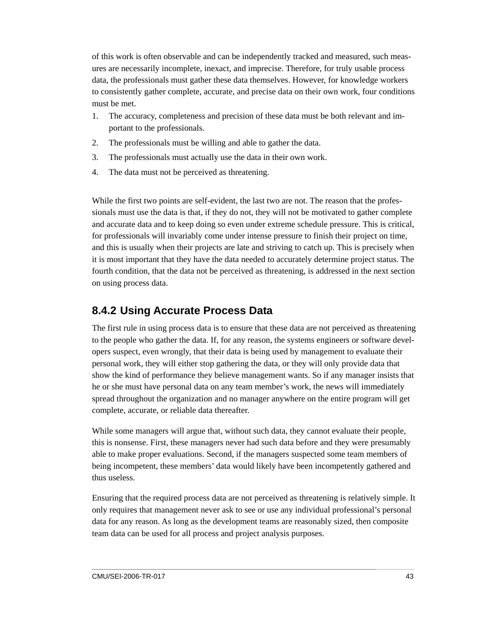<span id="page-60-0"></span>of this work is often observable and can be independently tracked and measured, such measures are necessarily incomplete, inexact, and imprecise. Therefore, for truly usable process data, the professionals must gather these data themselves. However, for knowledge workers to consistently gather complete, accurate, and precise data on their own work, four conditions must be met.

- 1. The accuracy, completeness and precision of these data must be both relevant and important to the professionals.
- 2. The professionals must be willing and able to gather the data.
- 3. The professionals must actually use the data in their own work.
- 4. The data must not be perceived as threatening.

While the first two points are self-evident, the last two are not. The reason that the professionals must use the data is that, if they do not, they will not be motivated to gather complete and accurate data and to keep doing so even under extreme schedule pressure. This is critical, for professionals will invariably come under intense pressure to finish their project on time, and this is usually when their projects are late and striving to catch up. This is precisely when it is most important that they have the data needed to accurately determine project status. The fourth condition, that the data not be perceived as threatening, is addressed in the next section on using process data.

#### **8.4.2 Using Accurate Process Data**

The first rule in using process data is to ensure that these data are not perceived as threatening to the people who gather the data. If, for any reason, the systems engineers or software developers suspect, even wrongly, that their data is being used by management to evaluate their personal work, they will either stop gathering the data, or they will only provide data that show the kind of performance they believe management wants. So if any manager insists that he or she must have personal data on any team member's work, the news will immediately spread throughout the organization and no manager anywhere on the entire program will get complete, accurate, or reliable data thereafter.

While some managers will argue that, without such data, they cannot evaluate their people, this is nonsense. First, these managers never had such data before and they were presumably able to make proper evaluations. Second, if the managers suspected some team members of being incompetent, these members' data would likely have been incompetently gathered and thus useless.

Ensuring that the required process data are not perceived as threatening is relatively simple. It only requires that management never ask to see or use any individual professional's personal data for any reason. As long as the development teams are reasonably sized, then composite team data can be used for all process and project analysis purposes.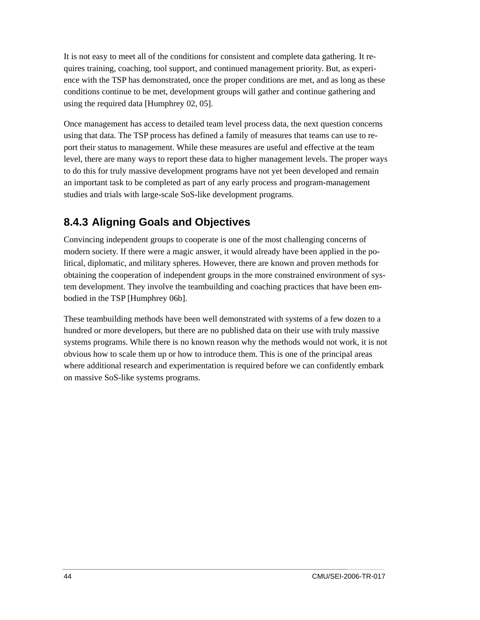<span id="page-61-0"></span>It is not easy to meet all of the conditions for consistent and complete data gathering. It requires training, coaching, tool support, and continued management priority. But, as experience with the TSP has demonstrated, once the proper conditions are met, and as long as these conditions continue to be met, development groups will gather and continue gathering and using the required data [Humphrey 02, 05].

Once management has access to detailed team level process data, the next question concerns using that data. The TSP process has defined a family of measures that teams can use to report their status to management. While these measures are useful and effective at the team level, there are many ways to report these data to higher management levels. The proper ways to do this for truly massive development programs have not yet been developed and remain an important task to be completed as part of any early process and program-management studies and trials with large-scale SoS-like development programs.

#### **8.4.3 Aligning Goals and Objectives**

Convincing independent groups to cooperate is one of the most challenging concerns of modern society. If there were a magic answer, it would already have been applied in the political, diplomatic, and military spheres. However, there are known and proven methods for obtaining the cooperation of independent groups in the more constrained environment of system development. They involve the teambuilding and coaching practices that have been embodied in the TSP [Humphrey 06b].

These teambuilding methods have been well demonstrated with systems of a few dozen to a hundred or more developers, but there are no published data on their use with truly massive systems programs. While there is no known reason why the methods would not work, it is not obvious how to scale them up or how to introduce them. This is one of the principal areas where additional research and experimentation is required before we can confidently embark on massive SoS-like systems programs.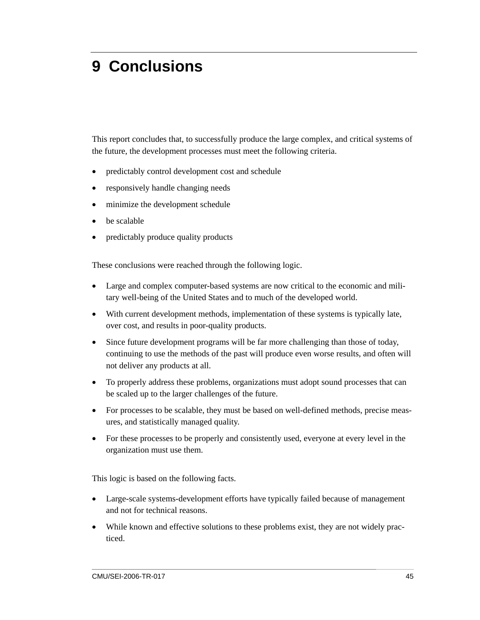# <span id="page-62-0"></span>**9 Conclusions**

This report concludes that, to successfully produce the large complex, and critical systems of the future, the development processes must meet the following criteria.

- predictably control development cost and schedule
- responsively handle changing needs
- minimize the development schedule
- be scalable
- predictably produce quality products

These conclusions were reached through the following logic.

- Large and complex computer-based systems are now critical to the economic and military well-being of the United States and to much of the developed world.
- With current development methods, implementation of these systems is typically late, over cost, and results in poor-quality products.
- Since future development programs will be far more challenging than those of today, continuing to use the methods of the past will produce even worse results, and often will not deliver any products at all.
- To properly address these problems, organizations must adopt sound processes that can be scaled up to the larger challenges of the future.
- For processes to be scalable, they must be based on well-defined methods, precise measures, and statistically managed quality.
- For these processes to be properly and consistently used, everyone at every level in the organization must use them.

This logic is based on the following facts.

- Large-scale systems-development efforts have typically failed because of management and not for technical reasons.
- While known and effective solutions to these problems exist, they are not widely practiced.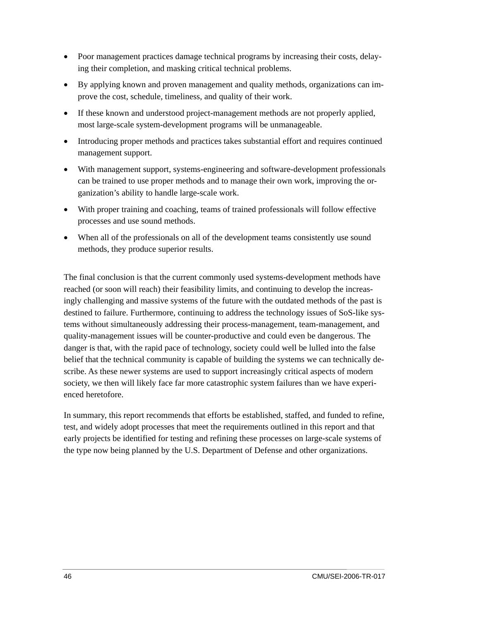- Poor management practices damage technical programs by increasing their costs, delaying their completion, and masking critical technical problems.
- By applying known and proven management and quality methods, organizations can improve the cost, schedule, timeliness, and quality of their work.
- If these known and understood project-management methods are not properly applied, most large-scale system-development programs will be unmanageable.
- Introducing proper methods and practices takes substantial effort and requires continued management support.
- With management support, systems-engineering and software-development professionals can be trained to use proper methods and to manage their own work, improving the organization's ability to handle large-scale work.
- With proper training and coaching, teams of trained professionals will follow effective processes and use sound methods.
- When all of the professionals on all of the development teams consistently use sound methods, they produce superior results.

The final conclusion is that the current commonly used systems-development methods have reached (or soon will reach) their feasibility limits, and continuing to develop the increasingly challenging and massive systems of the future with the outdated methods of the past is destined to failure. Furthermore, continuing to address the technology issues of SoS-like systems without simultaneously addressing their process-management, team-management, and quality-management issues will be counter-productive and could even be dangerous. The danger is that, with the rapid pace of technology, society could well be lulled into the false belief that the technical community is capable of building the systems we can technically describe. As these newer systems are used to support increasingly critical aspects of modern society, we then will likely face far more catastrophic system failures than we have experienced heretofore.

In summary, this report recommends that efforts be established, staffed, and funded to refine, test, and widely adopt processes that meet the requirements outlined in this report and that early projects be identified for testing and refining these processes on large-scale systems of the type now being planned by the U.S. Department of Defense and other organizations.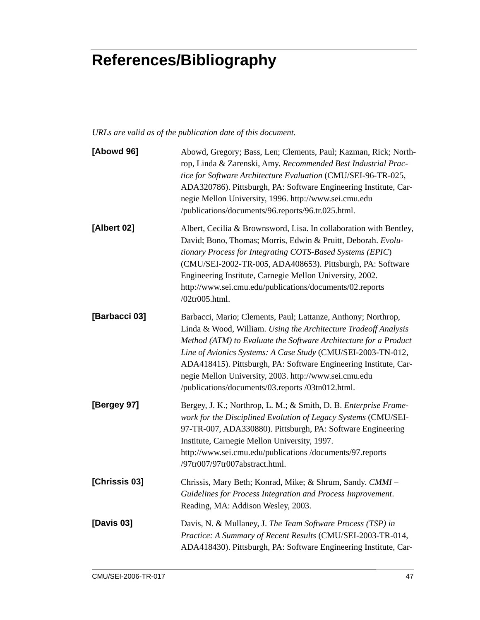# <span id="page-64-0"></span>**References/Bibliography**

*URLs are valid as of the publication date of this document.* 

| [Abowd 96]    | Abowd, Gregory; Bass, Len; Clements, Paul; Kazman, Rick; North-<br>rop, Linda & Zarenski, Amy. Recommended Best Industrial Prac-<br>tice for Software Architecture Evaluation (CMU/SEI-96-TR-025,<br>ADA320786). Pittsburgh, PA: Software Engineering Institute, Car-<br>negie Mellon University, 1996. http://www.sei.cmu.edu<br>/publications/documents/96.reports/96.tr.025.html.                                                                   |
|---------------|--------------------------------------------------------------------------------------------------------------------------------------------------------------------------------------------------------------------------------------------------------------------------------------------------------------------------------------------------------------------------------------------------------------------------------------------------------|
| [Albert 02]   | Albert, Cecilia & Brownsword, Lisa. In collaboration with Bentley,<br>David; Bono, Thomas; Morris, Edwin & Pruitt, Deborah. Evolu-<br>tionary Process for Integrating COTS-Based Systems (EPIC)<br>(CMU/SEI-2002-TR-005, ADA408653). Pittsburgh, PA: Software<br>Engineering Institute, Carnegie Mellon University, 2002.<br>http://www.sei.cmu.edu/publications/documents/02.reports<br>/02tr005.html.                                                |
| [Barbacci 03] | Barbacci, Mario; Clements, Paul; Lattanze, Anthony; Northrop,<br>Linda & Wood, William. Using the Architecture Tradeoff Analysis<br>Method (ATM) to Evaluate the Software Architecture for a Product<br>Line of Avionics Systems: A Case Study (CMU/SEI-2003-TN-012,<br>ADA418415). Pittsburgh, PA: Software Engineering Institute, Car-<br>negie Mellon University, 2003. http://www.sei.cmu.edu<br>/publications/documents/03.reports /03tn012.html. |
| [Bergey 97]   | Bergey, J. K.; Northrop, L. M.; & Smith, D. B. Enterprise Frame-<br>work for the Disciplined Evolution of Legacy Systems (CMU/SEI-<br>97-TR-007, ADA330880). Pittsburgh, PA: Software Engineering<br>Institute, Carnegie Mellon University, 1997.<br>http://www.sei.cmu.edu/publications /documents/97.reports<br>/97tr007/97tr007abstract.html.                                                                                                       |
| [Chrissis 03] | Chrissis, Mary Beth; Konrad, Mike; & Shrum, Sandy. CMMI -<br>Guidelines for Process Integration and Process Improvement.<br>Reading, MA: Addison Wesley, 2003.                                                                                                                                                                                                                                                                                         |
| [Davis 03]    | Davis, N. & Mullaney, J. The Team Software Process (TSP) in<br>Practice: A Summary of Recent Results (CMU/SEI-2003-TR-014,<br>ADA418430). Pittsburgh, PA: Software Engineering Institute, Car-                                                                                                                                                                                                                                                         |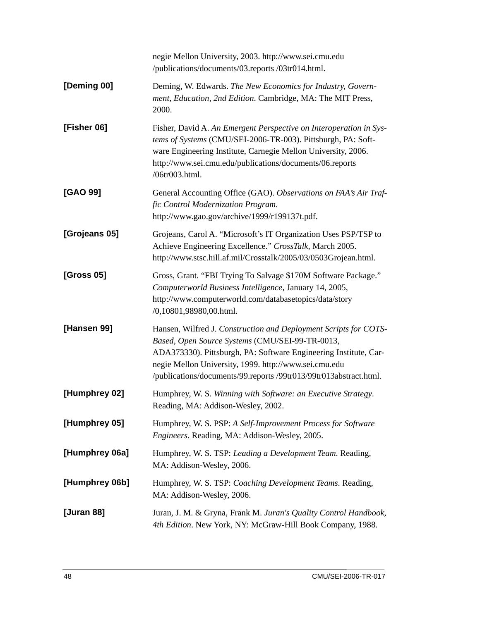|                | negie Mellon University, 2003. http://www.sei.cmu.edu<br>/publications/documents/03.reports /03tr014.html.                                                                                                                                                                                                            |  |  |
|----------------|-----------------------------------------------------------------------------------------------------------------------------------------------------------------------------------------------------------------------------------------------------------------------------------------------------------------------|--|--|
| [Deming 00]    | Deming, W. Edwards. The New Economics for Industry, Govern-<br>ment, Education, 2nd Edition. Cambridge, MA: The MIT Press,<br>2000.                                                                                                                                                                                   |  |  |
| [Fisher 06]    | Fisher, David A. An Emergent Perspective on Interoperation in Sys-<br>tems of Systems (CMU/SEI-2006-TR-003). Pittsburgh, PA: Soft-<br>ware Engineering Institute, Carnegie Mellon University, 2006.<br>http://www.sei.cmu.edu/publications/documents/06.reports<br>/06tr003.html.                                     |  |  |
| [GAO 99]       | General Accounting Office (GAO). Observations on FAA's Air Traf-<br>fic Control Modernization Program.<br>http://www.gao.gov/archive/1999/r199137t.pdf.                                                                                                                                                               |  |  |
| [Grojeans 05]  | Grojeans, Carol A. "Microsoft's IT Organization Uses PSP/TSP to<br>Achieve Engineering Excellence." CrossTalk, March 2005.<br>http://www.stsc.hill.af.mil/Crosstalk/2005/03/0503Grojean.html.                                                                                                                         |  |  |
| [Gross 05]     | Gross, Grant. "FBI Trying To Salvage \$170M Software Package."<br>Computerworld Business Intelligence, January 14, 2005,<br>http://www.computerworld.com/databasetopics/data/story<br>/0,10801,98980,00.html.                                                                                                         |  |  |
| [Hansen 99]    | Hansen, Wilfred J. Construction and Deployment Scripts for COTS-<br>Based, Open Source Systems (CMU/SEI-99-TR-0013,<br>ADA373330). Pittsburgh, PA: Software Engineering Institute, Car-<br>negie Mellon University, 1999. http://www.sei.cmu.edu<br>/publications/documents/99.reports /99tr013/99tr013abstract.html. |  |  |
| [Humphrey 02]  | Humphrey, W. S. Winning with Software: an Executive Strategy.<br>Reading, MA: Addison-Wesley, 2002.                                                                                                                                                                                                                   |  |  |
| [Humphrey 05]  | Humphrey, W. S. PSP: A Self-Improvement Process for Software<br>Engineers. Reading, MA: Addison-Wesley, 2005.                                                                                                                                                                                                         |  |  |
| [Humphrey 06a] | Humphrey, W. S. TSP: Leading a Development Team. Reading,<br>MA: Addison-Wesley, 2006.                                                                                                                                                                                                                                |  |  |
| [Humphrey 06b] | Humphrey, W. S. TSP: Coaching Development Teams. Reading,<br>MA: Addison-Wesley, 2006.                                                                                                                                                                                                                                |  |  |
| [Juran 88]     | Juran, J. M. & Gryna, Frank M. Juran's Quality Control Handbook,<br>4th Edition. New York, NY: McGraw-Hill Book Company, 1988.                                                                                                                                                                                        |  |  |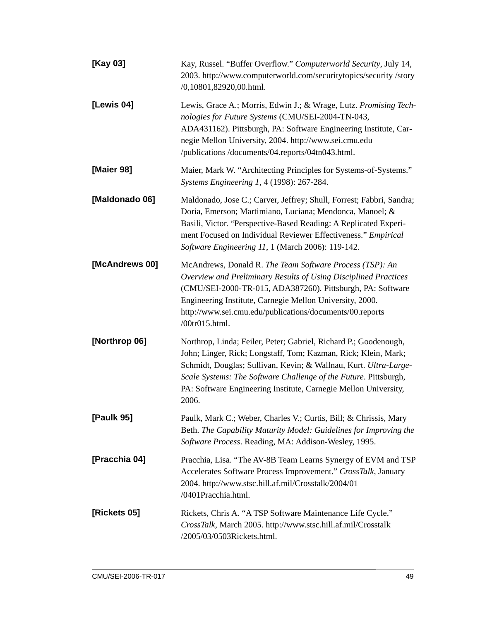| [Kay 03]       | Kay, Russel. "Buffer Overflow." Computerworld Security, July 14,<br>2003. http://www.computerworld.com/securitytopics/security /story<br>/0,10801,82920,00.html.                                                                                                                                                                                       |  |  |
|----------------|--------------------------------------------------------------------------------------------------------------------------------------------------------------------------------------------------------------------------------------------------------------------------------------------------------------------------------------------------------|--|--|
| [Lewis 04]     | Lewis, Grace A.; Morris, Edwin J.; & Wrage, Lutz. Promising Tech-<br>nologies for Future Systems (CMU/SEI-2004-TN-043,<br>ADA431162). Pittsburgh, PA: Software Engineering Institute, Car-<br>negie Mellon University, 2004. http://www.sei.cmu.edu<br>/publications /documents/04.reports/04tn043.html.                                               |  |  |
| [Maier 98]     | Maier, Mark W. "Architecting Principles for Systems-of-Systems."<br>Systems Engineering 1, 4 (1998): 267-284.                                                                                                                                                                                                                                          |  |  |
| [Maldonado 06] | Maldonado, Jose C.; Carver, Jeffrey; Shull, Forrest; Fabbri, Sandra;<br>Doria, Emerson; Martimiano, Luciana; Mendonca, Manoel; &<br>Basili, Victor. "Perspective-Based Reading: A Replicated Experi-<br>ment Focused on Individual Reviewer Effectiveness." Empirical<br>Software Engineering 11, 1 (March 2006): 119-142.                             |  |  |
| [McAndrews 00] | McAndrews, Donald R. The Team Software Process (TSP): An<br>Overview and Preliminary Results of Using Disciplined Practices<br>(CMU/SEI-2000-TR-015, ADA387260). Pittsburgh, PA: Software<br>Engineering Institute, Carnegie Mellon University, 2000.<br>http://www.sei.cmu.edu/publications/documents/00.reports<br>/00tr015.html.                    |  |  |
| [Northrop 06]  | Northrop, Linda; Feiler, Peter; Gabriel, Richard P.; Goodenough,<br>John; Linger, Rick; Longstaff, Tom; Kazman, Rick; Klein, Mark;<br>Schmidt, Douglas; Sullivan, Kevin; & Wallnau, Kurt. Ultra-Large-<br>Scale Systems: The Software Challenge of the Future. Pittsburgh,<br>PA: Software Engineering Institute, Carnegie Mellon University,<br>2006. |  |  |
| [Paulk 95]     | Paulk, Mark C.; Weber, Charles V.; Curtis, Bill; & Chrissis, Mary<br>Beth. The Capability Maturity Model: Guidelines for Improving the<br>Software Process. Reading, MA: Addison-Wesley, 1995.                                                                                                                                                         |  |  |
| [Pracchia 04]  | Pracchia, Lisa. "The AV-8B Team Learns Synergy of EVM and TSP<br>Accelerates Software Process Improvement." CrossTalk, January<br>2004. http://www.stsc.hill.af.mil/Crosstalk/2004/01<br>/0401Pracchia.html.                                                                                                                                           |  |  |
| [Rickets 05]   | Rickets, Chris A. "A TSP Software Maintenance Life Cycle."<br>CrossTalk, March 2005. http://www.stsc.hill.af.mil/Crosstalk<br>/2005/03/0503Rickets.html.                                                                                                                                                                                               |  |  |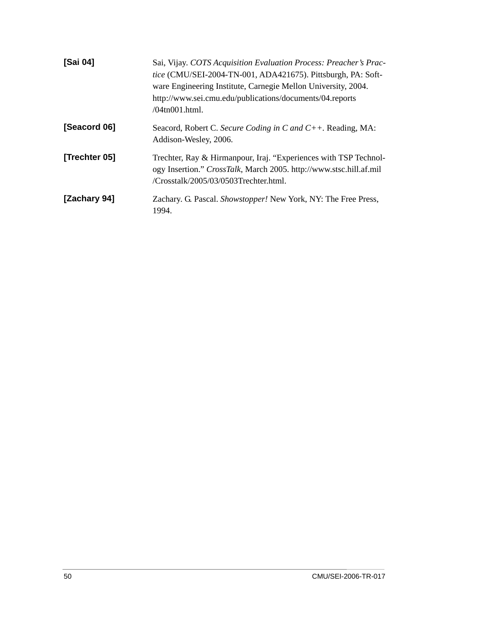| [Sai 04]           | Sai, Vijay. COTS Acquisition Evaluation Process: Preacher's Prac-<br>tice (CMU/SEI-2004-TN-001, ADA421675). Pittsburgh, PA: Soft-<br>ware Engineering Institute, Carnegie Mellon University, 2004.<br>http://www.sei.cmu.edu/publications/documents/04.reports<br>$/04$ tn $001$ .html. |
|--------------------|-----------------------------------------------------------------------------------------------------------------------------------------------------------------------------------------------------------------------------------------------------------------------------------------|
| <b>Seacord 061</b> | Seacord, Robert C. Secure Coding in C and C++. Reading, MA:<br>Addison-Wesley, 2006.                                                                                                                                                                                                    |
| [Trechter 05]      | Trechter, Ray & Hirmanpour, Iraj. "Experiences with TSP Technol-<br>ogy Insertion." CrossTalk, March 2005. http://www.stsc.hill.af.mil<br>/Crosstalk/2005/03/0503Trechter.html.                                                                                                         |
| [Zachary 94]       | Zachary. G. Pascal. Showstopper! New York, NY: The Free Press,<br>1994.                                                                                                                                                                                                                 |